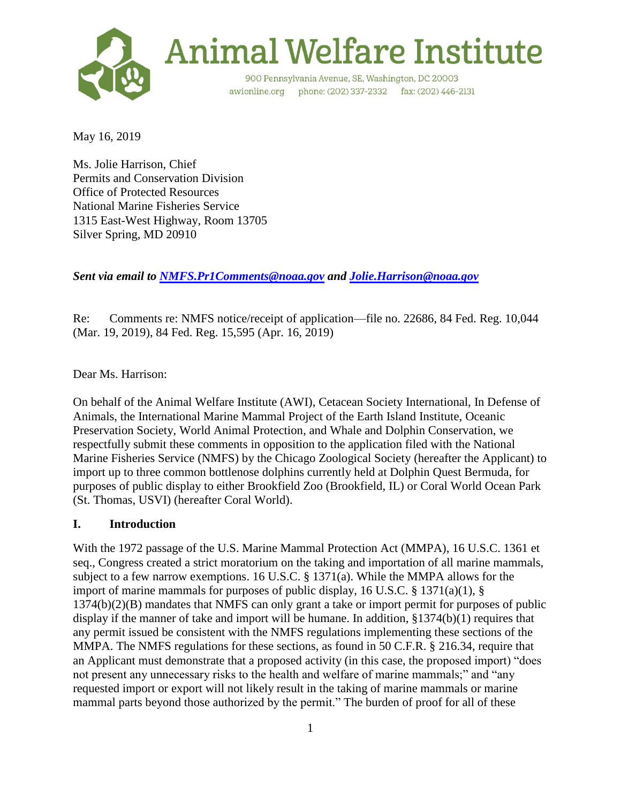

May 16, 2019

Ms. Jolie Harrison, Chief Permits and Conservation Division Office of Protected Resources National Marine Fisheries Service 1315 East-West Highway, Room 13705 Silver Spring, MD 20910

*Sent via email to [NMFS.Pr1Comments@noaa.gov](mailto:NMFS.Pr1Comments@noaa.gov) and [Jolie.Harrison@noaa.gov](mailto:Jolie.Harrison@noaa.gov)*

Re: Comments re: NMFS notice/receipt of application—file no. 22686, 84 Fed. Reg. 10,044 (Mar. 19, 2019), 84 Fed. Reg. 15,595 (Apr. 16, 2019)

Dear Ms. Harrison:

On behalf of the Animal Welfare Institute (AWI), Cetacean Society International, In Defense of Animals, the International Marine Mammal Project of the Earth Island Institute, Oceanic Preservation Society, World Animal Protection, and Whale and Dolphin Conservation, we respectfully submit these comments in opposition to the application filed with the National Marine Fisheries Service (NMFS) by the Chicago Zoological Society (hereafter the Applicant) to import up to three common bottlenose dolphins currently held at Dolphin Quest Bermuda, for purposes of public display to either Brookfield Zoo (Brookfield, IL) or Coral World Ocean Park (St. Thomas, USVI) (hereafter Coral World).

## **I. Introduction**

With the 1972 passage of the U.S. Marine Mammal Protection Act (MMPA), 16 U.S.C. 1361 et seq., Congress created a strict moratorium on the taking and importation of all marine mammals, subject to a few narrow exemptions. 16 U.S.C. § 1371(a). While the MMPA allows for the import of marine mammals for purposes of public display, 16 U.S.C.  $\S$  1371(a)(1),  $\S$ 1374(b)(2)(B) mandates that NMFS can only grant a take or import permit for purposes of public display if the manner of take and import will be humane. In addition, §1374(b)(1) requires that any permit issued be consistent with the NMFS regulations implementing these sections of the MMPA. The NMFS regulations for these sections, as found in 50 C.F.R. § 216.34, require that an Applicant must demonstrate that a proposed activity (in this case, the proposed import) "does not present any unnecessary risks to the health and welfare of marine mammals;" and "any requested import or export will not likely result in the taking of marine mammals or marine mammal parts beyond those authorized by the permit." The burden of proof for all of these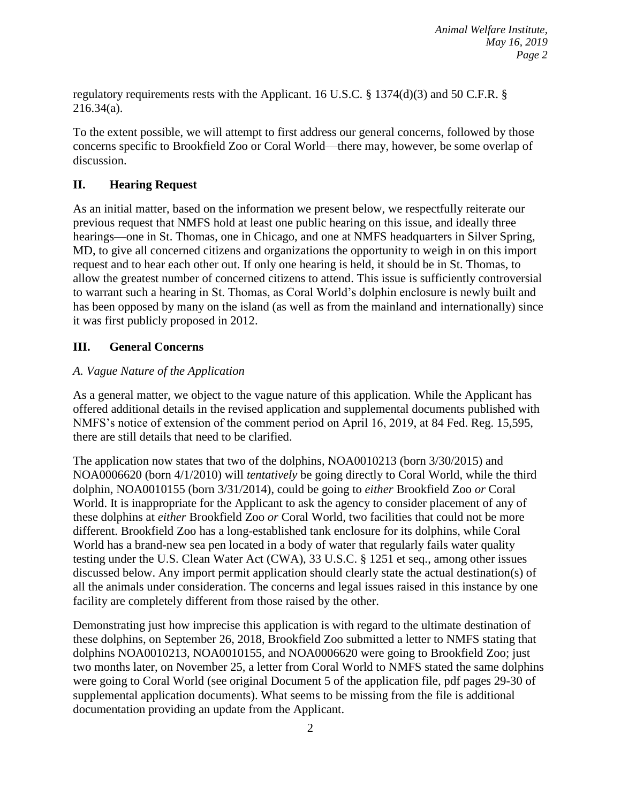regulatory requirements rests with the Applicant. 16 U.S.C. § 1374(d)(3) and 50 C.F.R. § 216.34(a).

To the extent possible, we will attempt to first address our general concerns, followed by those concerns specific to Brookfield Zoo or Coral World—there may, however, be some overlap of discussion.

# **II. Hearing Request**

As an initial matter, based on the information we present below, we respectfully reiterate our previous request that NMFS hold at least one public hearing on this issue, and ideally three hearings—one in St. Thomas, one in Chicago, and one at NMFS headquarters in Silver Spring, MD, to give all concerned citizens and organizations the opportunity to weigh in on this import request and to hear each other out. If only one hearing is held, it should be in St. Thomas, to allow the greatest number of concerned citizens to attend. This issue is sufficiently controversial to warrant such a hearing in St. Thomas, as Coral World's dolphin enclosure is newly built and has been opposed by many on the island (as well as from the mainland and internationally) since it was first publicly proposed in 2012.

## **III. General Concerns**

# *A. Vague Nature of the Application*

As a general matter, we object to the vague nature of this application. While the Applicant has offered additional details in the revised application and supplemental documents published with NMFS's notice of extension of the comment period on April 16, 2019, at 84 Fed. Reg. 15,595, there are still details that need to be clarified.

The application now states that two of the dolphins, NOA0010213 (born 3/30/2015) and NOA0006620 (born 4/1/2010) will *tentatively* be going directly to Coral World, while the third dolphin, NOA0010155 (born 3/31/2014), could be going to *either* Brookfield Zoo *or* Coral World. It is inappropriate for the Applicant to ask the agency to consider placement of any of these dolphins at *either* Brookfield Zoo *or* Coral World, two facilities that could not be more different. Brookfield Zoo has a long-established tank enclosure for its dolphins, while Coral World has a brand-new sea pen located in a body of water that regularly fails water quality testing under the U.S. Clean Water Act (CWA), 33 U.S.C. § 1251 et seq., among other issues discussed below. Any import permit application should clearly state the actual destination(s) of all the animals under consideration. The concerns and legal issues raised in this instance by one facility are completely different from those raised by the other.

Demonstrating just how imprecise this application is with regard to the ultimate destination of these dolphins, on September 26, 2018, Brookfield Zoo submitted a letter to NMFS stating that dolphins NOA0010213, NOA0010155, and NOA0006620 were going to Brookfield Zoo; just two months later, on November 25, a letter from Coral World to NMFS stated the same dolphins were going to Coral World (see original Document 5 of the application file, pdf pages 29-30 of supplemental application documents). What seems to be missing from the file is additional documentation providing an update from the Applicant.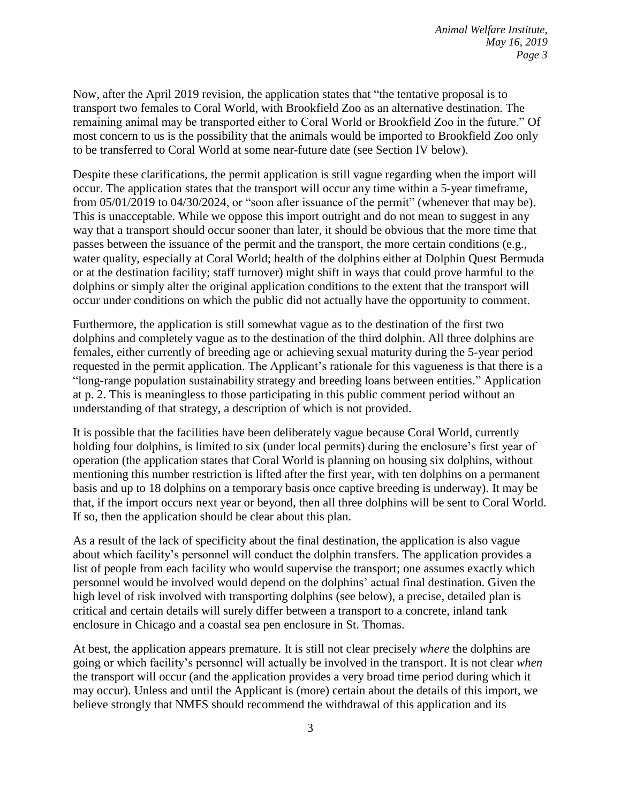Now, after the April 2019 revision, the application states that "the tentative proposal is to transport two females to Coral World, with Brookfield Zoo as an alternative destination. The remaining animal may be transported either to Coral World or Brookfield Zoo in the future." Of most concern to us is the possibility that the animals would be imported to Brookfield Zoo only to be transferred to Coral World at some near-future date (see Section IV below).

Despite these clarifications, the permit application is still vague regarding when the import will occur. The application states that the transport will occur any time within a 5-year timeframe, from 05/01/2019 to 04/30/2024, or "soon after issuance of the permit" (whenever that may be). This is unacceptable. While we oppose this import outright and do not mean to suggest in any way that a transport should occur sooner than later, it should be obvious that the more time that passes between the issuance of the permit and the transport, the more certain conditions (e.g., water quality, especially at Coral World; health of the dolphins either at Dolphin Quest Bermuda or at the destination facility; staff turnover) might shift in ways that could prove harmful to the dolphins or simply alter the original application conditions to the extent that the transport will occur under conditions on which the public did not actually have the opportunity to comment.

Furthermore, the application is still somewhat vague as to the destination of the first two dolphins and completely vague as to the destination of the third dolphin. All three dolphins are females, either currently of breeding age or achieving sexual maturity during the 5-year period requested in the permit application. The Applicant's rationale for this vagueness is that there is a "long-range population sustainability strategy and breeding loans between entities." Application at p. 2. This is meaningless to those participating in this public comment period without an understanding of that strategy, a description of which is not provided.

It is possible that the facilities have been deliberately vague because Coral World, currently holding four dolphins, is limited to six (under local permits) during the enclosure's first year of operation (the application states that Coral World is planning on housing six dolphins, without mentioning this number restriction is lifted after the first year, with ten dolphins on a permanent basis and up to 18 dolphins on a temporary basis once captive breeding is underway). It may be that, if the import occurs next year or beyond, then all three dolphins will be sent to Coral World. If so, then the application should be clear about this plan.

As a result of the lack of specificity about the final destination, the application is also vague about which facility's personnel will conduct the dolphin transfers. The application provides a list of people from each facility who would supervise the transport; one assumes exactly which personnel would be involved would depend on the dolphins' actual final destination. Given the high level of risk involved with transporting dolphins (see below), a precise, detailed plan is critical and certain details will surely differ between a transport to a concrete, inland tank enclosure in Chicago and a coastal sea pen enclosure in St. Thomas.

At best, the application appears premature. It is still not clear precisely *where* the dolphins are going or which facility's personnel will actually be involved in the transport. It is not clear *when*  the transport will occur (and the application provides a very broad time period during which it may occur). Unless and until the Applicant is (more) certain about the details of this import, we believe strongly that NMFS should recommend the withdrawal of this application and its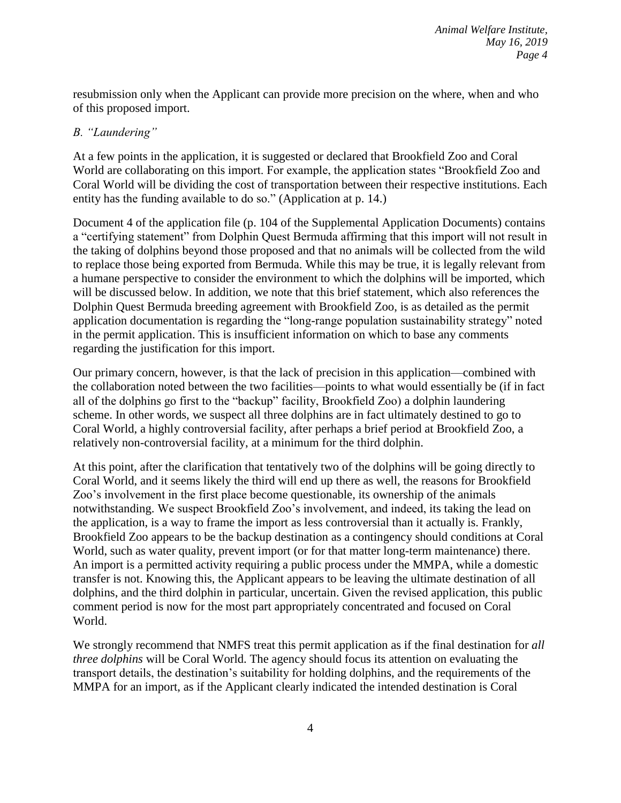resubmission only when the Applicant can provide more precision on the where, when and who of this proposed import.

## *B. "Laundering"*

At a few points in the application, it is suggested or declared that Brookfield Zoo and Coral World are collaborating on this import. For example, the application states "Brookfield Zoo and Coral World will be dividing the cost of transportation between their respective institutions. Each entity has the funding available to do so." (Application at p. 14.)

Document 4 of the application file (p. 104 of the Supplemental Application Documents) contains a "certifying statement" from Dolphin Quest Bermuda affirming that this import will not result in the taking of dolphins beyond those proposed and that no animals will be collected from the wild to replace those being exported from Bermuda. While this may be true, it is legally relevant from a humane perspective to consider the environment to which the dolphins will be imported, which will be discussed below. In addition, we note that this brief statement, which also references the Dolphin Quest Bermuda breeding agreement with Brookfield Zoo, is as detailed as the permit application documentation is regarding the "long-range population sustainability strategy" noted in the permit application. This is insufficient information on which to base any comments regarding the justification for this import.

Our primary concern, however, is that the lack of precision in this application—combined with the collaboration noted between the two facilities—points to what would essentially be (if in fact all of the dolphins go first to the "backup" facility, Brookfield Zoo) a dolphin laundering scheme. In other words, we suspect all three dolphins are in fact ultimately destined to go to Coral World, a highly controversial facility, after perhaps a brief period at Brookfield Zoo, a relatively non-controversial facility, at a minimum for the third dolphin.

At this point, after the clarification that tentatively two of the dolphins will be going directly to Coral World, and it seems likely the third will end up there as well, the reasons for Brookfield Zoo's involvement in the first place become questionable, its ownership of the animals notwithstanding. We suspect Brookfield Zoo's involvement, and indeed, its taking the lead on the application, is a way to frame the import as less controversial than it actually is. Frankly, Brookfield Zoo appears to be the backup destination as a contingency should conditions at Coral World, such as water quality, prevent import (or for that matter long-term maintenance) there. An import is a permitted activity requiring a public process under the MMPA, while a domestic transfer is not. Knowing this, the Applicant appears to be leaving the ultimate destination of all dolphins, and the third dolphin in particular, uncertain. Given the revised application, this public comment period is now for the most part appropriately concentrated and focused on Coral World.

We strongly recommend that NMFS treat this permit application as if the final destination for *all three dolphins* will be Coral World. The agency should focus its attention on evaluating the transport details, the destination's suitability for holding dolphins, and the requirements of the MMPA for an import, as if the Applicant clearly indicated the intended destination is Coral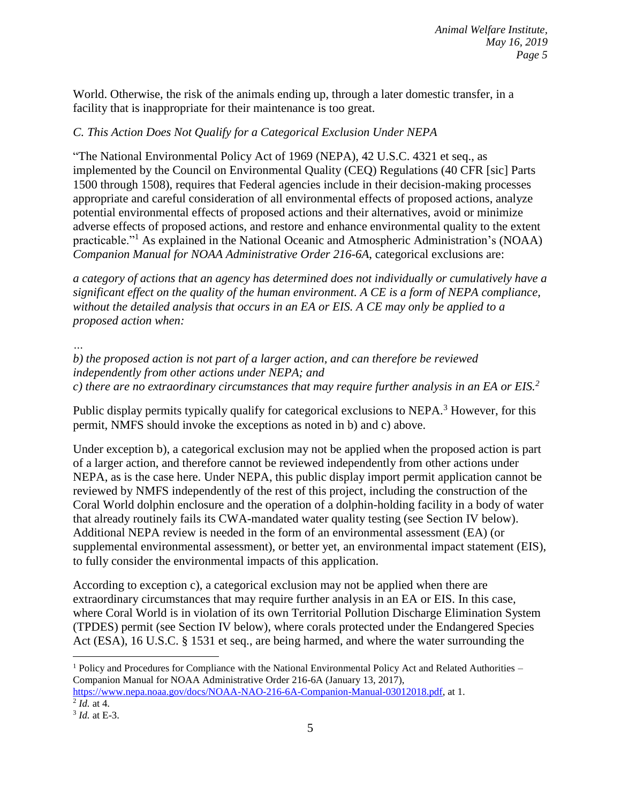World. Otherwise, the risk of the animals ending up, through a later domestic transfer, in a facility that is inappropriate for their maintenance is too great.

# *C. This Action Does Not Qualify for a Categorical Exclusion Under NEPA*

"The National Environmental Policy Act of 1969 (NEPA), 42 U.S.C. 4321 et seq., as implemented by the Council on Environmental Quality (CEQ) Regulations (40 CFR [sic] Parts 1500 through 1508), requires that Federal agencies include in their decision-making processes appropriate and careful consideration of all environmental effects of proposed actions, analyze potential environmental effects of proposed actions and their alternatives, avoid or minimize adverse effects of proposed actions, and restore and enhance environmental quality to the extent practicable."<sup>1</sup> As explained in the National Oceanic and Atmospheric Administration's (NOAA) *Companion Manual for NOAA Administrative Order 216-6A*, categorical exclusions are:

*a category of actions that an agency has determined does not individually or cumulatively have a significant effect on the quality of the human environment. A CE is a form of NEPA compliance, without the detailed analysis that occurs in an EA or EIS. A CE may only be applied to a proposed action when:*

*…*

*b) the proposed action is not part of a larger action, and can therefore be reviewed independently from other actions under NEPA; and c) there are no extraordinary circumstances that may require further analysis in an EA or EIS.<sup>2</sup>*

Public display permits typically qualify for categorical exclusions to NEPA.<sup>3</sup> However, for this permit, NMFS should invoke the exceptions as noted in b) and c) above.

Under exception b), a categorical exclusion may not be applied when the proposed action is part of a larger action, and therefore cannot be reviewed independently from other actions under NEPA, as is the case here. Under NEPA, this public display import permit application cannot be reviewed by NMFS independently of the rest of this project, including the construction of the Coral World dolphin enclosure and the operation of a dolphin-holding facility in a body of water that already routinely fails its CWA-mandated water quality testing (see Section IV below). Additional NEPA review is needed in the form of an environmental assessment (EA) (or supplemental environmental assessment), or better yet, an environmental impact statement (EIS), to fully consider the environmental impacts of this application.

According to exception c), a categorical exclusion may not be applied when there are extraordinary circumstances that may require further analysis in an EA or EIS. In this case, where Coral World is in violation of its own Territorial Pollution Discharge Elimination System (TPDES) permit (see Section IV below), where corals protected under the Endangered Species Act (ESA), 16 U.S.C. § 1531 et seq., are being harmed, and where the water surrounding the

 $1$  Policy and Procedures for Compliance with the National Environmental Policy Act and Related Authorities – Companion Manual for NOAA Administrative Order 216-6A (January 13, 2017), [https://www.nepa.noaa.gov/docs/NOAA-NAO-216-6A-Companion-Manual-03012018.pdf,](https://www.nepa.noaa.gov/docs/NOAA-NAO-216-6A-Companion-Manual-03012018.pdf) at 1. 2 *Id.* at 4.

<sup>3</sup> *Id.* at E-3.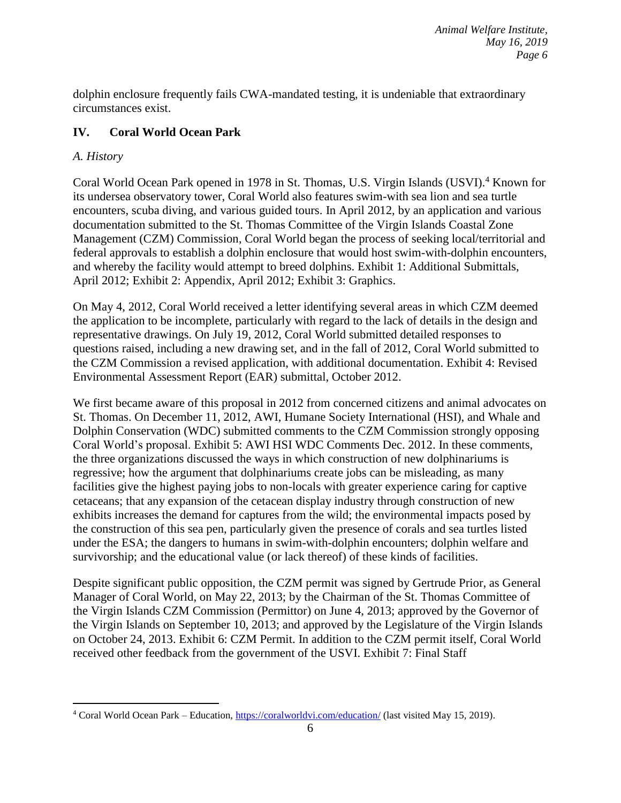dolphin enclosure frequently fails CWA-mandated testing, it is undeniable that extraordinary circumstances exist.

# **IV. Coral World Ocean Park**

# *A. History*

 $\overline{a}$ 

Coral World Ocean Park opened in 1978 in St. Thomas, U.S. Virgin Islands (USVI).<sup>4</sup> Known for its undersea observatory tower, Coral World also features swim-with sea lion and sea turtle encounters, scuba diving, and various guided tours. In April 2012, by an application and various documentation submitted to the St. Thomas Committee of the Virgin Islands Coastal Zone Management (CZM) Commission, Coral World began the process of seeking local/territorial and federal approvals to establish a dolphin enclosure that would host swim-with-dolphin encounters, and whereby the facility would attempt to breed dolphins. Exhibit 1: Additional Submittals, April 2012; Exhibit 2: Appendix, April 2012; Exhibit 3: Graphics.

On May 4, 2012, Coral World received a letter identifying several areas in which CZM deemed the application to be incomplete, particularly with regard to the lack of details in the design and representative drawings. On July 19, 2012, Coral World submitted detailed responses to questions raised, including a new drawing set, and in the fall of 2012, Coral World submitted to the CZM Commission a revised application, with additional documentation. Exhibit 4: Revised Environmental Assessment Report (EAR) submittal, October 2012.

We first became aware of this proposal in 2012 from concerned citizens and animal advocates on St. Thomas. On December 11, 2012, AWI, Humane Society International (HSI), and Whale and Dolphin Conservation (WDC) submitted comments to the CZM Commission strongly opposing Coral World's proposal. Exhibit 5: AWI HSI WDC Comments Dec. 2012. In these comments, the three organizations discussed the ways in which construction of new dolphinariums is regressive; how the argument that dolphinariums create jobs can be misleading, as many facilities give the highest paying jobs to non-locals with greater experience caring for captive cetaceans; that any expansion of the cetacean display industry through construction of new exhibits increases the demand for captures from the wild; the environmental impacts posed by the construction of this sea pen, particularly given the presence of corals and sea turtles listed under the ESA; the dangers to humans in swim-with-dolphin encounters; dolphin welfare and survivorship; and the educational value (or lack thereof) of these kinds of facilities.

Despite significant public opposition, the CZM permit was signed by Gertrude Prior, as General Manager of Coral World, on May 22, 2013; by the Chairman of the St. Thomas Committee of the Virgin Islands CZM Commission (Permittor) on June 4, 2013; approved by the Governor of the Virgin Islands on September 10, 2013; and approved by the Legislature of the Virgin Islands on October 24, 2013. Exhibit 6: CZM Permit. In addition to the CZM permit itself, Coral World received other feedback from the government of the USVI. Exhibit 7: Final Staff

<sup>&</sup>lt;sup>4</sup> Coral World Ocean Park – Education, <https://coralworldvi.com/education/> (last visited May 15, 2019).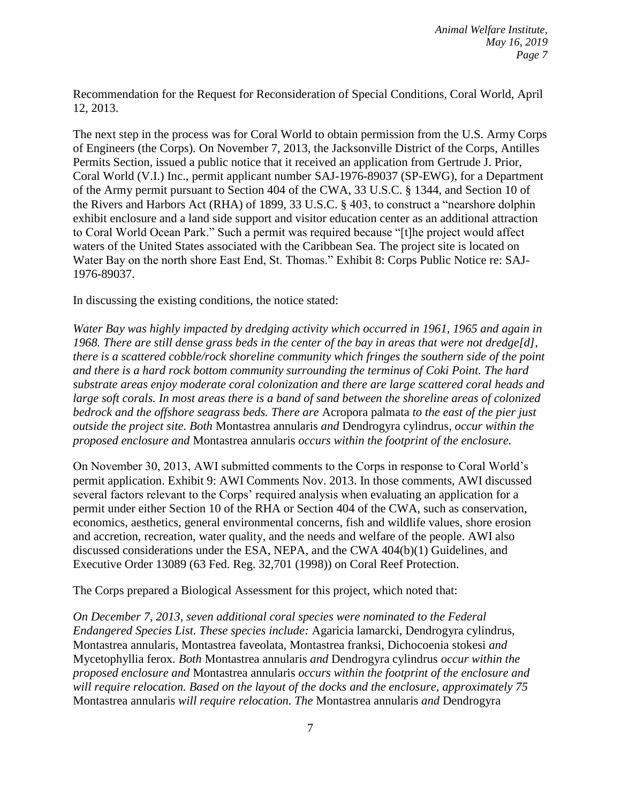Recommendation for the Request for Reconsideration of Special Conditions, Coral World, April 12, 2013.

The next step in the process was for Coral World to obtain permission from the U.S. Army Corps of Engineers (the Corps). On November 7, 2013, the Jacksonville District of the Corps, Antilles Permits Section, issued a public notice that it received an application from Gertrude J. Prior, Coral World (V.I.) Inc., permit applicant number SAJ-1976-89037 (SP-EWG), for a Department of the Army permit pursuant to Section 404 of the CWA, 33 U.S.C. § 1344, and Section 10 of the Rivers and Harbors Act (RHA) of 1899, 33 U.S.C. § 403, to construct a "nearshore dolphin exhibit enclosure and a land side support and visitor education center as an additional attraction to Coral World Ocean Park." Such a permit was required because "[t]he project would affect waters of the United States associated with the Caribbean Sea. The project site is located on Water Bay on the north shore East End, St. Thomas." Exhibit 8: Corps Public Notice re: SAJ-1976-89037.

In discussing the existing conditions, the notice stated:

*Water Bay was highly impacted by dredging activity which occurred in 1961, 1965 and again in 1968. There are still dense grass beds in the center of the bay in areas that were not dredge[d], there is a scattered cobble/rock shoreline community which fringes the southern side of the point and there is a hard rock bottom community surrounding the terminus of Coki Point. The hard substrate areas enjoy moderate coral colonization and there are large scattered coral heads and large soft corals. In most areas there is a band of sand between the shoreline areas of colonized bedrock and the offshore seagrass beds. There are* Acropora palmata *to the east of the pier just outside the project site. Both* Montastrea annularis *and* Dendrogyra cylindrus*, occur within the proposed enclosure and* Montastrea annularis *occurs within the footprint of the enclosure.*

On November 30, 2013, AWI submitted comments to the Corps in response to Coral World's permit application. Exhibit 9: AWI Comments Nov. 2013. In those comments, AWI discussed several factors relevant to the Corps' required analysis when evaluating an application for a permit under either Section 10 of the RHA or Section 404 of the CWA, such as conservation, economics, aesthetics, general environmental concerns, fish and wildlife values, shore erosion and accretion, recreation, water quality, and the needs and welfare of the people. AWI also discussed considerations under the ESA, NEPA, and the CWA 404(b)(1) Guidelines, and Executive Order 13089 (63 Fed. Reg. 32,701 (1998)) on Coral Reef Protection.

The Corps prepared a Biological Assessment for this project, which noted that:

*On December 7, 2013, seven additional coral species were nominated to the Federal Endangered Species List. These species include:* Agaricia lamarcki, Dendrogyra cylindrus, Montastrea annularis, Montastrea faveolata, Montastrea franksi, Dichocoenia stokesi *and*  Mycetophyllia ferox*. Both* Montastrea annularis *and* Dendrogyra cylindrus *occur within the proposed enclosure and* Montastrea annularis *occurs within the footprint of the enclosure and will require relocation. Based on the layout of the docks and the enclosure, approximately 75*  Montastrea annularis *will require relocation. The* Montastrea annularis *and* Dendrogyra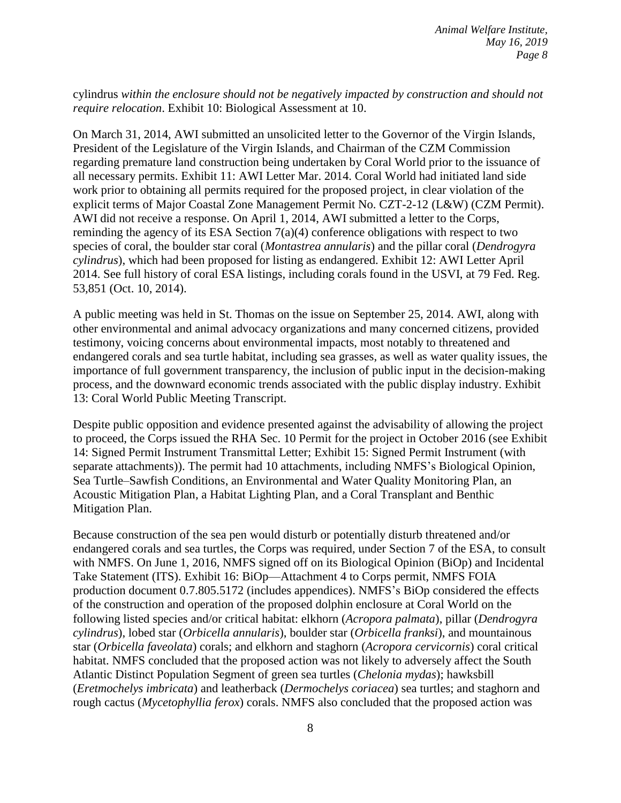cylindrus *within the enclosure should not be negatively impacted by construction and should not require relocation*. Exhibit 10: Biological Assessment at 10.

On March 31, 2014, AWI submitted an unsolicited letter to the Governor of the Virgin Islands, President of the Legislature of the Virgin Islands, and Chairman of the CZM Commission regarding premature land construction being undertaken by Coral World prior to the issuance of all necessary permits. Exhibit 11: AWI Letter Mar. 2014. Coral World had initiated land side work prior to obtaining all permits required for the proposed project, in clear violation of the explicit terms of Major Coastal Zone Management Permit No. CZT-2-12 (L&W) (CZM Permit). AWI did not receive a response. On April 1, 2014, AWI submitted a letter to the Corps, reminding the agency of its ESA Section 7(a)(4) conference obligations with respect to two species of coral, the boulder star coral (*Montastrea annularis*) and the pillar coral (*Dendrogyra cylindrus*), which had been proposed for listing as endangered. Exhibit 12: AWI Letter April 2014. See full history of coral ESA listings, including corals found in the USVI, at 79 Fed. Reg. 53,851 (Oct. 10, 2014).

A public meeting was held in St. Thomas on the issue on September 25, 2014. AWI, along with other environmental and animal advocacy organizations and many concerned citizens, provided testimony, voicing concerns about environmental impacts, most notably to threatened and endangered corals and sea turtle habitat, including sea grasses, as well as water quality issues, the importance of full government transparency, the inclusion of public input in the decision-making process, and the downward economic trends associated with the public display industry. Exhibit 13: Coral World Public Meeting Transcript.

Despite public opposition and evidence presented against the advisability of allowing the project to proceed, the Corps issued the RHA Sec. 10 Permit for the project in October 2016 (see Exhibit 14: Signed Permit Instrument Transmittal Letter; Exhibit 15: Signed Permit Instrument (with separate attachments)). The permit had 10 attachments, including NMFS's Biological Opinion, Sea Turtle–Sawfish Conditions, an Environmental and Water Quality Monitoring Plan, an Acoustic Mitigation Plan, a Habitat Lighting Plan, and a Coral Transplant and Benthic Mitigation Plan.

Because construction of the sea pen would disturb or potentially disturb threatened and/or endangered corals and sea turtles, the Corps was required, under Section 7 of the ESA, to consult with NMFS. On June 1, 2016, NMFS signed off on its Biological Opinion (BiOp) and Incidental Take Statement (ITS). Exhibit 16: BiOp—Attachment 4 to Corps permit, NMFS FOIA production document 0.7.805.5172 (includes appendices). NMFS's BiOp considered the effects of the construction and operation of the proposed dolphin enclosure at Coral World on the following listed species and/or critical habitat: elkhorn (*Acropora palmata*), pillar (*Dendrogyra cylindrus*), lobed star (*Orbicella annularis*), boulder star (*Orbicella franksi*), and mountainous star (*Orbicella faveolata*) corals; and elkhorn and staghorn (*Acropora cervicornis*) coral critical habitat. NMFS concluded that the proposed action was not likely to adversely affect the South Atlantic Distinct Population Segment of green sea turtles (*Chelonia mydas*); hawksbill (*Eretmochelys imbricata*) and leatherback (*Dermochelys coriacea*) sea turtles; and staghorn and rough cactus (*Mycetophyllia ferox*) corals. NMFS also concluded that the proposed action was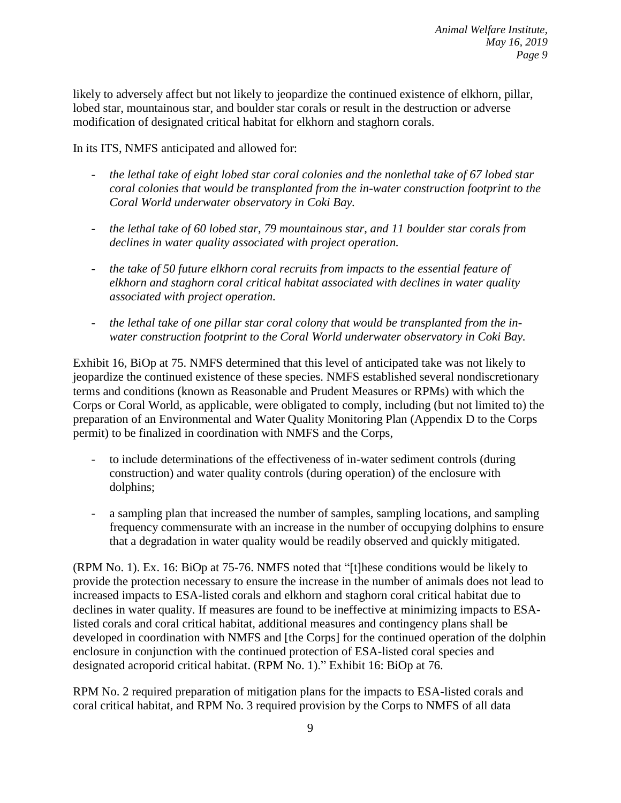likely to adversely affect but not likely to jeopardize the continued existence of elkhorn, pillar, lobed star, mountainous star, and boulder star corals or result in the destruction or adverse modification of designated critical habitat for elkhorn and staghorn corals.

In its ITS, NMFS anticipated and allowed for:

- *the lethal take of eight lobed star coral colonies and the nonlethal take of 67 lobed star coral colonies that would be transplanted from the in-water construction footprint to the Coral World underwater observatory in Coki Bay.*
- *the lethal take of 60 lobed star, 79 mountainous star, and 11 boulder star corals from declines in water quality associated with project operation.*
- *the take of 50 future elkhorn coral recruits from impacts to the essential feature of elkhorn and staghorn coral critical habitat associated with declines in water quality associated with project operation.*
- *the lethal take of one pillar star coral colony that would be transplanted from the inwater construction footprint to the Coral World underwater observatory in Coki Bay.*

Exhibit 16, BiOp at 75. NMFS determined that this level of anticipated take was not likely to jeopardize the continued existence of these species. NMFS established several nondiscretionary terms and conditions (known as Reasonable and Prudent Measures or RPMs) with which the Corps or Coral World, as applicable, were obligated to comply, including (but not limited to) the preparation of an Environmental and Water Quality Monitoring Plan (Appendix D to the Corps permit) to be finalized in coordination with NMFS and the Corps,

- to include determinations of the effectiveness of in-water sediment controls (during construction) and water quality controls (during operation) of the enclosure with dolphins;
- a sampling plan that increased the number of samples, sampling locations, and sampling frequency commensurate with an increase in the number of occupying dolphins to ensure that a degradation in water quality would be readily observed and quickly mitigated.

(RPM No. 1). Ex. 16: BiOp at 75-76. NMFS noted that "[t]hese conditions would be likely to provide the protection necessary to ensure the increase in the number of animals does not lead to increased impacts to ESA-listed corals and elkhorn and staghorn coral critical habitat due to declines in water quality. If measures are found to be ineffective at minimizing impacts to ESAlisted corals and coral critical habitat, additional measures and contingency plans shall be developed in coordination with NMFS and [the Corps] for the continued operation of the dolphin enclosure in conjunction with the continued protection of ESA-listed coral species and designated acroporid critical habitat. (RPM No. 1)." Exhibit 16: BiOp at 76.

RPM No. 2 required preparation of mitigation plans for the impacts to ESA-listed corals and coral critical habitat, and RPM No. 3 required provision by the Corps to NMFS of all data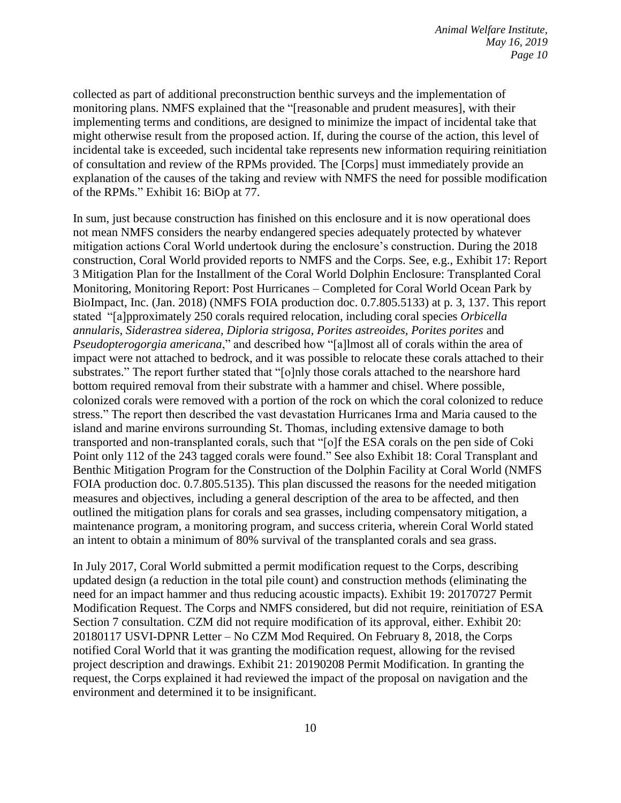collected as part of additional preconstruction benthic surveys and the implementation of monitoring plans. NMFS explained that the "[reasonable and prudent measures], with their implementing terms and conditions, are designed to minimize the impact of incidental take that might otherwise result from the proposed action. If, during the course of the action, this level of incidental take is exceeded, such incidental take represents new information requiring reinitiation of consultation and review of the RPMs provided. The [Corps] must immediately provide an explanation of the causes of the taking and review with NMFS the need for possible modification of the RPMs." Exhibit 16: BiOp at 77.

In sum, just because construction has finished on this enclosure and it is now operational does not mean NMFS considers the nearby endangered species adequately protected by whatever mitigation actions Coral World undertook during the enclosure's construction. During the 2018 construction, Coral World provided reports to NMFS and the Corps. See, e.g., Exhibit 17: Report 3 Mitigation Plan for the Installment of the Coral World Dolphin Enclosure: Transplanted Coral Monitoring, Monitoring Report: Post Hurricanes – Completed for Coral World Ocean Park by BioImpact, Inc. (Jan. 2018) (NMFS FOIA production doc. 0.7.805.5133) at p. 3, 137. This report stated "[a]pproximately 250 corals required relocation, including coral species *Orbicella annularis, Siderastrea siderea, Diploria strigosa, Porites astreoides, Porites porites* and *Pseudopterogorgia americana*," and described how "[a]lmost all of corals within the area of impact were not attached to bedrock, and it was possible to relocate these corals attached to their substrates." The report further stated that "[o]nly those corals attached to the nearshore hard bottom required removal from their substrate with a hammer and chisel. Where possible, colonized corals were removed with a portion of the rock on which the coral colonized to reduce stress." The report then described the vast devastation Hurricanes Irma and Maria caused to the island and marine environs surrounding St. Thomas, including extensive damage to both transported and non-transplanted corals, such that "[o]f the ESA corals on the pen side of Coki Point only 112 of the 243 tagged corals were found." See also Exhibit 18: Coral Transplant and Benthic Mitigation Program for the Construction of the Dolphin Facility at Coral World (NMFS FOIA production doc. 0.7.805.5135). This plan discussed the reasons for the needed mitigation measures and objectives, including a general description of the area to be affected, and then outlined the mitigation plans for corals and sea grasses, including compensatory mitigation, a maintenance program, a monitoring program, and success criteria, wherein Coral World stated an intent to obtain a minimum of 80% survival of the transplanted corals and sea grass.

In July 2017, Coral World submitted a permit modification request to the Corps, describing updated design (a reduction in the total pile count) and construction methods (eliminating the need for an impact hammer and thus reducing acoustic impacts). Exhibit 19: 20170727 Permit Modification Request. The Corps and NMFS considered, but did not require, reinitiation of ESA Section 7 consultation. CZM did not require modification of its approval, either. Exhibit 20: 20180117 USVI-DPNR Letter – No CZM Mod Required. On February 8, 2018, the Corps notified Coral World that it was granting the modification request, allowing for the revised project description and drawings. Exhibit 21: 20190208 Permit Modification. In granting the request, the Corps explained it had reviewed the impact of the proposal on navigation and the environment and determined it to be insignificant.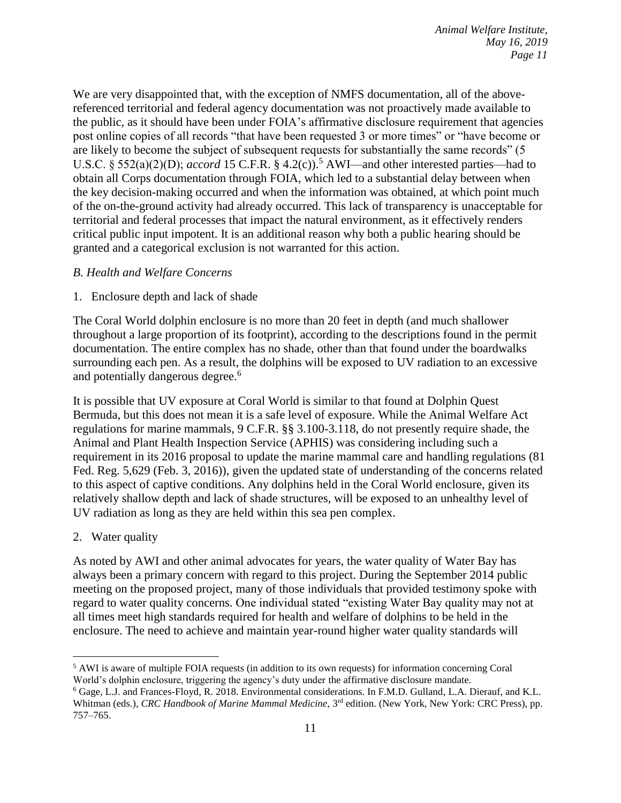We are very disappointed that, with the exception of NMFS documentation, all of the abovereferenced territorial and federal agency documentation was not proactively made available to the public, as it should have been under FOIA's affirmative disclosure requirement that agencies post online copies of all records "that have been requested 3 or more times" or "have become or are likely to become the subject of subsequent requests for substantially the same records" (5 U.S.C. § 552(a)(2)(D); *accord* 15 C.F.R. § 4.2(c)).<sup>5</sup> AWI—and other interested parties—had to obtain all Corps documentation through FOIA, which led to a substantial delay between when the key decision-making occurred and when the information was obtained, at which point much of the on-the-ground activity had already occurred. This lack of transparency is unacceptable for territorial and federal processes that impact the natural environment, as it effectively renders critical public input impotent. It is an additional reason why both a public hearing should be granted and a categorical exclusion is not warranted for this action.

### *B. Health and Welfare Concerns*

1. Enclosure depth and lack of shade

The Coral World dolphin enclosure is no more than 20 feet in depth (and much shallower throughout a large proportion of its footprint), according to the descriptions found in the permit documentation. The entire complex has no shade, other than that found under the boardwalks surrounding each pen. As a result, the dolphins will be exposed to UV radiation to an excessive and potentially dangerous degree. 6

It is possible that UV exposure at Coral World is similar to that found at Dolphin Quest Bermuda, but this does not mean it is a safe level of exposure. While the Animal Welfare Act regulations for marine mammals, 9 C.F.R. §§ 3.100-3.118, do not presently require shade, the Animal and Plant Health Inspection Service (APHIS) was considering including such a requirement in its 2016 proposal to update the marine mammal care and handling regulations (81 Fed. Reg. 5,629 (Feb. 3, 2016)), given the updated state of understanding of the concerns related to this aspect of captive conditions. Any dolphins held in the Coral World enclosure, given its relatively shallow depth and lack of shade structures, will be exposed to an unhealthy level of UV radiation as long as they are held within this sea pen complex.

2. Water quality

As noted by AWI and other animal advocates for years, the water quality of Water Bay has always been a primary concern with regard to this project. During the September 2014 public meeting on the proposed project, many of those individuals that provided testimony spoke with regard to water quality concerns. One individual stated "existing Water Bay quality may not at all times meet high standards required for health and welfare of dolphins to be held in the enclosure. The need to achieve and maintain year-round higher water quality standards will

 $\overline{a}$ <sup>5</sup> AWI is aware of multiple FOIA requests (in addition to its own requests) for information concerning Coral World's dolphin enclosure, triggering the agency's duty under the affirmative disclosure mandate.

<sup>6</sup> Gage, L.J. and Frances-Floyd, R. 2018. Environmental considerations. In F.M.D. Gulland, L.A. Dierauf, and K.L. Whitman (eds.), *CRC Handbook of Marine Mammal Medicine*, 3<sup>rd</sup> edition. (New York, New York: CRC Press), pp. 757–765.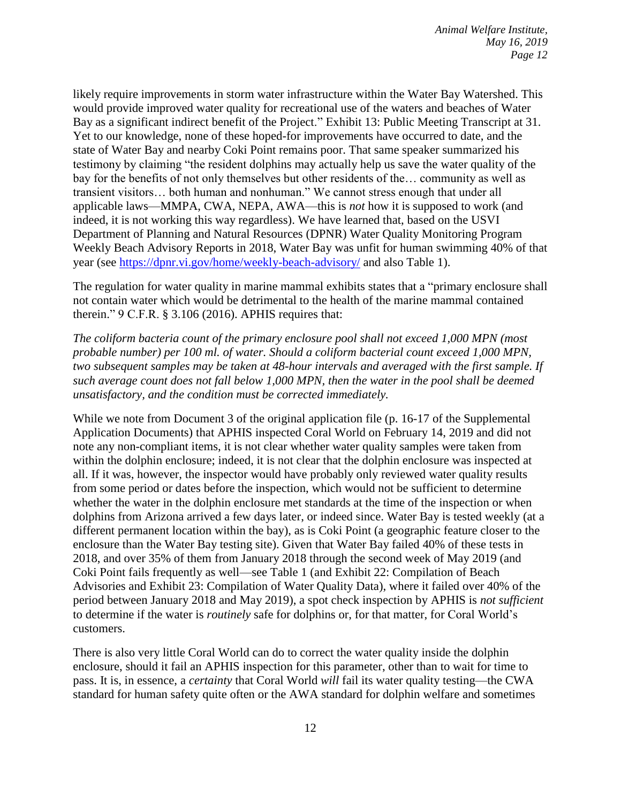likely require improvements in storm water infrastructure within the Water Bay Watershed. This would provide improved water quality for recreational use of the waters and beaches of Water Bay as a significant indirect benefit of the Project." Exhibit 13: Public Meeting Transcript at 31. Yet to our knowledge, none of these hoped-for improvements have occurred to date, and the state of Water Bay and nearby Coki Point remains poor. That same speaker summarized his testimony by claiming "the resident dolphins may actually help us save the water quality of the bay for the benefits of not only themselves but other residents of the… community as well as transient visitors… both human and nonhuman." We cannot stress enough that under all applicable laws—MMPA, CWA, NEPA, AWA—this is *not* how it is supposed to work (and indeed, it is not working this way regardless). We have learned that, based on the USVI Department of Planning and Natural Resources (DPNR) Water Quality Monitoring Program Weekly Beach Advisory Reports in 2018, Water Bay was unfit for human swimming 40% of that year (see<https://dpnr.vi.gov/home/weekly-beach-advisory/> and also Table 1).

The regulation for water quality in marine mammal exhibits states that a "primary enclosure shall not contain water which would be detrimental to the health of the marine mammal contained therein." 9 C.F.R. § 3.106 (2016). APHIS requires that:

*The coliform bacteria count of the primary enclosure pool shall not exceed 1,000 MPN (most probable number) per 100 ml. of water. Should a coliform bacterial count exceed 1,000 MPN, two subsequent samples may be taken at 48-hour intervals and averaged with the first sample. If such average count does not fall below 1,000 MPN, then the water in the pool shall be deemed unsatisfactory, and the condition must be corrected immediately.*

While we note from Document 3 of the original application file (p. 16-17 of the Supplemental Application Documents) that APHIS inspected Coral World on February 14, 2019 and did not note any non-compliant items, it is not clear whether water quality samples were taken from within the dolphin enclosure; indeed, it is not clear that the dolphin enclosure was inspected at all. If it was, however, the inspector would have probably only reviewed water quality results from some period or dates before the inspection, which would not be sufficient to determine whether the water in the dolphin enclosure met standards at the time of the inspection or when dolphins from Arizona arrived a few days later, or indeed since. Water Bay is tested weekly (at a different permanent location within the bay), as is Coki Point (a geographic feature closer to the enclosure than the Water Bay testing site). Given that Water Bay failed 40% of these tests in 2018, and over 35% of them from January 2018 through the second week of May 2019 (and Coki Point fails frequently as well—see Table 1 (and Exhibit 22: Compilation of Beach Advisories and Exhibit 23: Compilation of Water Quality Data), where it failed over 40% of the period between January 2018 and May 2019), a spot check inspection by APHIS is *not sufficient*  to determine if the water is *routinely* safe for dolphins or, for that matter, for Coral World's customers.

There is also very little Coral World can do to correct the water quality inside the dolphin enclosure, should it fail an APHIS inspection for this parameter, other than to wait for time to pass. It is, in essence, a *certainty* that Coral World *will* fail its water quality testing—the CWA standard for human safety quite often or the AWA standard for dolphin welfare and sometimes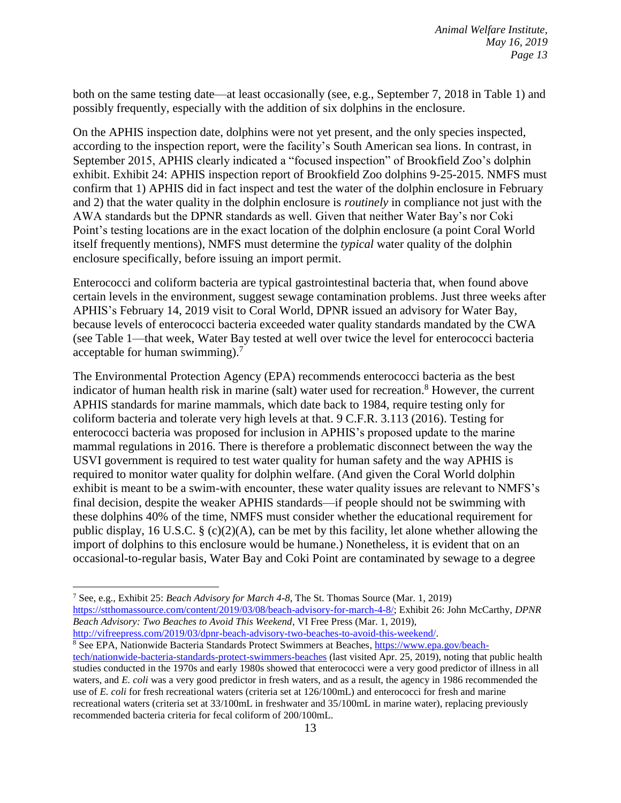both on the same testing date—at least occasionally (see, e.g., September 7, 2018 in Table 1) and possibly frequently, especially with the addition of six dolphins in the enclosure.

On the APHIS inspection date, dolphins were not yet present, and the only species inspected, according to the inspection report, were the facility's South American sea lions. In contrast, in September 2015, APHIS clearly indicated a "focused inspection" of Brookfield Zoo's dolphin exhibit. Exhibit 24: APHIS inspection report of Brookfield Zoo dolphins 9-25-2015. NMFS must confirm that 1) APHIS did in fact inspect and test the water of the dolphin enclosure in February and 2) that the water quality in the dolphin enclosure is *routinely* in compliance not just with the AWA standards but the DPNR standards as well. Given that neither Water Bay's nor Coki Point's testing locations are in the exact location of the dolphin enclosure (a point Coral World itself frequently mentions), NMFS must determine the *typical* water quality of the dolphin enclosure specifically, before issuing an import permit.

Enterococci and coliform bacteria are typical gastrointestinal bacteria that, when found above certain levels in the environment, suggest sewage contamination problems. Just three weeks after APHIS's February 14, 2019 visit to Coral World, DPNR issued an advisory for Water Bay, because levels of enterococci bacteria exceeded water quality standards mandated by the CWA (see Table 1—that week, Water Bay tested at well over twice the level for enterococci bacteria acceptable for human swimming).<sup>7</sup>

The Environmental Protection Agency (EPA) recommends enterococci bacteria as the best indicator of human health risk in marine (salt) water used for recreation.<sup>8</sup> However, the current APHIS standards for marine mammals, which date back to 1984, require testing only for coliform bacteria and tolerate very high levels at that. 9 C.F.R. 3.113 (2016). Testing for enterococci bacteria was proposed for inclusion in APHIS's proposed update to the marine mammal regulations in 2016. There is therefore a problematic disconnect between the way the USVI government is required to test water quality for human safety and the way APHIS is required to monitor water quality for dolphin welfare. (And given the Coral World dolphin exhibit is meant to be a swim-with encounter, these water quality issues are relevant to NMFS's final decision, despite the weaker APHIS standards—if people should not be swimming with these dolphins 40% of the time, NMFS must consider whether the educational requirement for public display, 16 U.S.C. § (c)(2)(A), can be met by this facility, let alone whether allowing the import of dolphins to this enclosure would be humane.) Nonetheless, it is evident that on an occasional-to-regular basis, Water Bay and Coki Point are contaminated by sewage to a degree

<sup>7</sup> See, e.g., Exhibit 25: *Beach Advisory for March 4-8*, The St. Thomas Source (Mar. 1, 2019) [https://stthomassource.com/content/2019/03/08/beach-advisory-for-march-4-8/;](https://stthomassource.com/content/2019/03/08/beach-advisory-for-march-4-8/) Exhibit 26: John McCarthy, *DPNR Beach Advisory: Two Beaches to Avoid This Weekend*, VI Free Press (Mar. 1, 2019),

[http://vifreepress.com/2019/03/dpnr-beach-advisory-two-beaches-to-avoid-this-weekend/.](http://vifreepress.com/2019/03/dpnr-beach-advisory-two-beaches-to-avoid-this-weekend/)

<sup>8</sup> See EPA, Nationwide Bacteria Standards Protect Swimmers at Beaches, [https://www.epa.gov/beach](https://www.epa.gov/beach-tech/nationwide-bacteria-standards-protect-swimmers-beaches)[tech/nationwide-bacteria-standards-protect-swimmers-beaches](https://www.epa.gov/beach-tech/nationwide-bacteria-standards-protect-swimmers-beaches) (last visited Apr. 25, 2019), noting that public health studies conducted in the 1970s and early 1980s showed that enterococci were a very good predictor of illness in all waters, and *E. coli* was a very good predictor in fresh waters, and as a result, the agency in 1986 recommended the use of *E. coli* for fresh recreational waters (criteria set at 126/100mL) and enterococci for fresh and marine recreational waters (criteria set at 33/100mL in freshwater and 35/100mL in marine water), replacing previously recommended bacteria criteria for fecal coliform of 200/100mL.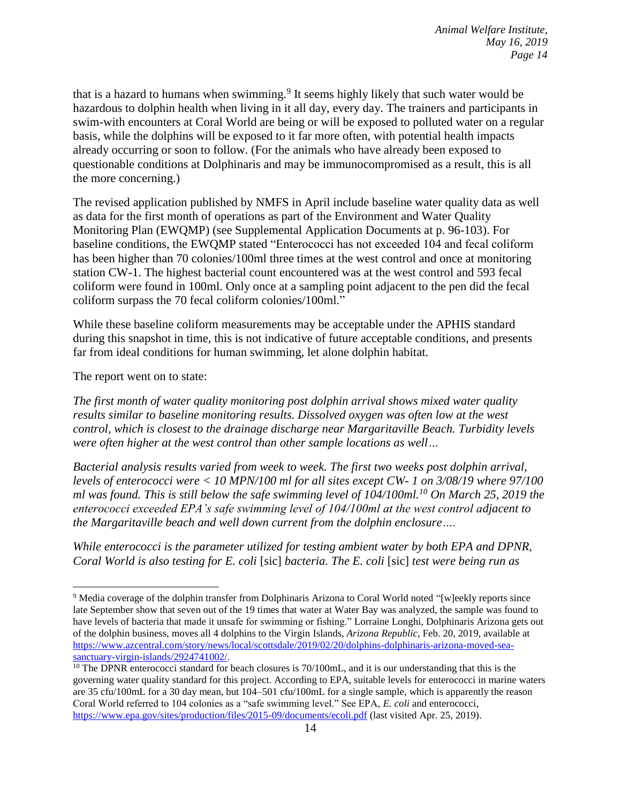that is a hazard to humans when swimming.<sup>9</sup> It seems highly likely that such water would be hazardous to dolphin health when living in it all day, every day. The trainers and participants in swim-with encounters at Coral World are being or will be exposed to polluted water on a regular basis, while the dolphins will be exposed to it far more often, with potential health impacts already occurring or soon to follow. (For the animals who have already been exposed to questionable conditions at Dolphinaris and may be immunocompromised as a result, this is all the more concerning.)

The revised application published by NMFS in April include baseline water quality data as well as data for the first month of operations as part of the Environment and Water Quality Monitoring Plan (EWQMP) (see Supplemental Application Documents at p. 96-103). For baseline conditions, the EWQMP stated "Enterococci has not exceeded 104 and fecal coliform has been higher than 70 colonies/100ml three times at the west control and once at monitoring station CW-1. The highest bacterial count encountered was at the west control and 593 fecal coliform were found in 100ml. Only once at a sampling point adjacent to the pen did the fecal coliform surpass the 70 fecal coliform colonies/100ml."

While these baseline coliform measurements may be acceptable under the APHIS standard during this snapshot in time, this is not indicative of future acceptable conditions, and presents far from ideal conditions for human swimming, let alone dolphin habitat.

The report went on to state:

 $\overline{a}$ 

*The first month of water quality monitoring post dolphin arrival shows mixed water quality results similar to baseline monitoring results. Dissolved oxygen was often low at the west control, which is closest to the drainage discharge near Margaritaville Beach. Turbidity levels were often higher at the west control than other sample locations as well…* 

*Bacterial analysis results varied from week to week. The first two weeks post dolphin arrival, levels of enterococci were < 10 MPN/100 ml for all sites except CW- 1 on 3/08/19 where 97/100 ml was found. This is still below the safe swimming level of 104/100ml.<sup>10</sup> On March 25, 2019 the enterococci exceeded EPA's safe swimming level of 104/100ml at the west control adjacent to the Margaritaville beach and well down current from the dolphin enclosure….* 

*While enterococci is the parameter utilized for testing ambient water by both EPA and DPNR, Coral World is also testing for E. coli* [sic] *bacteria. The E. coli* [sic] *test were being run as* 

<sup>9</sup> Media coverage of the dolphin transfer from Dolphinaris Arizona to Coral World noted "[w]eekly reports since late September show that seven out of the 19 times that water at Water Bay was analyzed, the sample was found to have levels of bacteria that made it unsafe for swimming or fishing." Lorraine Longhi, Dolphinaris Arizona gets out of the dolphin business, moves all 4 dolphins to the Virgin Islands, *Arizona Republic*, Feb. 20, 2019, available at [https://www.azcentral.com/story/news/local/scottsdale/2019/02/20/dolphins-dolphinaris-arizona-moved-sea](https://www.azcentral.com/story/news/local/scottsdale/2019/02/20/dolphins-dolphinaris-arizona-moved-sea-sanctuary-virgin-islands/2924741002/)[sanctuary-virgin-islands/2924741002/.](https://www.azcentral.com/story/news/local/scottsdale/2019/02/20/dolphins-dolphinaris-arizona-moved-sea-sanctuary-virgin-islands/2924741002/)

 $10$  The DPNR enterococci standard for beach closures is 70/100mL, and it is our understanding that this is the governing water quality standard for this project. According to EPA, suitable levels for enterococci in marine waters are 35 cfu/100mL for a 30 day mean, but 104–501 cfu/100mL for a single sample, which is apparently the reason Coral World referred to 104 colonies as a "safe swimming level." See EPA, *E. coli* and enterococci, <https://www.epa.gov/sites/production/files/2015-09/documents/ecoli.pdf> (last visited Apr. 25, 2019).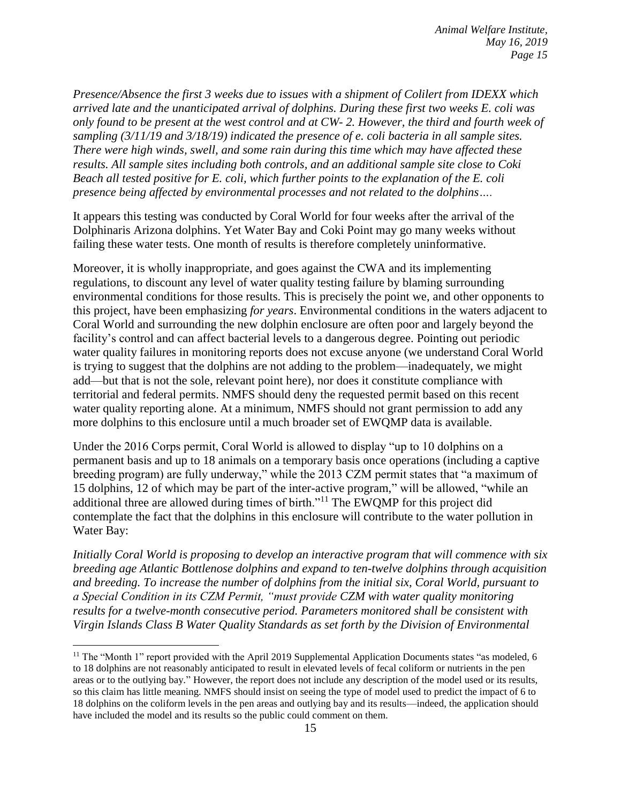*Presence/Absence the first 3 weeks due to issues with a shipment of Colilert from IDEXX which arrived late and the unanticipated arrival of dolphins. During these first two weeks E. coli was only found to be present at the west control and at CW- 2. However, the third and fourth week of sampling (3/11/19 and 3/18/19) indicated the presence of e. coli bacteria in all sample sites. There were high winds, swell, and some rain during this time which may have affected these results. All sample sites including both controls, and an additional sample site close to Coki Beach all tested positive for E. coli, which further points to the explanation of the E. coli presence being affected by environmental processes and not related to the dolphins….*

It appears this testing was conducted by Coral World for four weeks after the arrival of the Dolphinaris Arizona dolphins. Yet Water Bay and Coki Point may go many weeks without failing these water tests. One month of results is therefore completely uninformative.

Moreover, it is wholly inappropriate, and goes against the CWA and its implementing regulations, to discount any level of water quality testing failure by blaming surrounding environmental conditions for those results. This is precisely the point we, and other opponents to this project, have been emphasizing *for years*. Environmental conditions in the waters adjacent to Coral World and surrounding the new dolphin enclosure are often poor and largely beyond the facility's control and can affect bacterial levels to a dangerous degree. Pointing out periodic water quality failures in monitoring reports does not excuse anyone (we understand Coral World is trying to suggest that the dolphins are not adding to the problem—inadequately, we might add—but that is not the sole, relevant point here), nor does it constitute compliance with territorial and federal permits. NMFS should deny the requested permit based on this recent water quality reporting alone. At a minimum, NMFS should not grant permission to add any more dolphins to this enclosure until a much broader set of EWQMP data is available.

Under the 2016 Corps permit, Coral World is allowed to display "up to 10 dolphins on a permanent basis and up to 18 animals on a temporary basis once operations (including a captive breeding program) are fully underway," while the 2013 CZM permit states that "a maximum of 15 dolphins, 12 of which may be part of the inter-active program," will be allowed, "while an additional three are allowed during times of birth."<sup>11</sup> The EWQMP for this project did contemplate the fact that the dolphins in this enclosure will contribute to the water pollution in Water Bay:

*Initially Coral World is proposing to develop an interactive program that will commence with six breeding age Atlantic Bottlenose dolphins and expand to ten-twelve dolphins through acquisition and breeding. To increase the number of dolphins from the initial six, Coral World, pursuant to a Special Condition in its CZM Permit, "must provide CZM with water quality monitoring results for a twelve-month consecutive period. Parameters monitored shall be consistent with Virgin Islands Class B Water Quality Standards as set forth by the Division of Environmental* 

<sup>&</sup>lt;sup>11</sup> The "Month 1" report provided with the April 2019 Supplemental Application Documents states "as modeled, 6 to 18 dolphins are not reasonably anticipated to result in elevated levels of fecal coliform or nutrients in the pen areas or to the outlying bay." However, the report does not include any description of the model used or its results, so this claim has little meaning. NMFS should insist on seeing the type of model used to predict the impact of 6 to 18 dolphins on the coliform levels in the pen areas and outlying bay and its results—indeed, the application should have included the model and its results so the public could comment on them.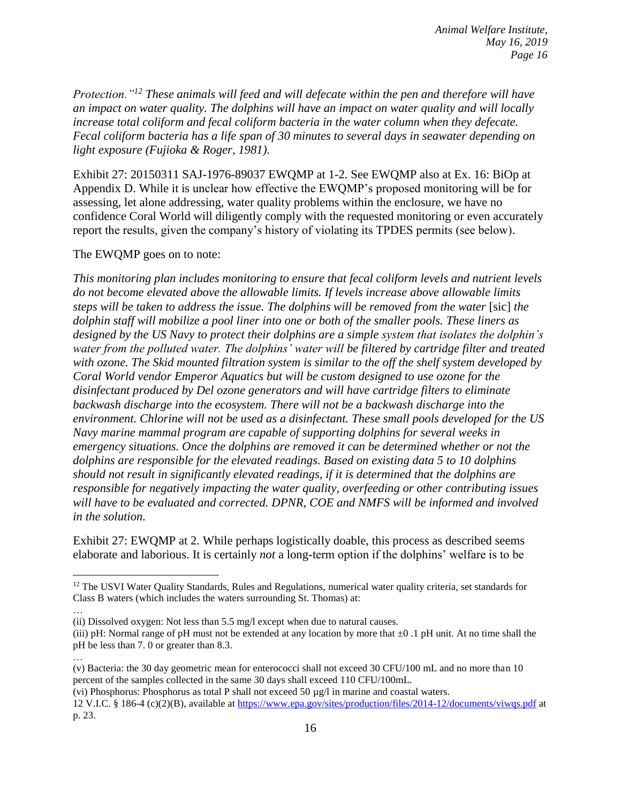*Protection."<sup>12</sup> These animals will feed and will defecate within the pen and therefore will have an impact on water quality. The dolphins will have an impact on water quality and will locally increase total coliform and fecal coliform bacteria in the water column when they defecate. Fecal coliform bacteria has a life span of 30 minutes to several days in seawater depending on light exposure (Fujioka & Roger, 1981).*

Exhibit 27: 20150311 SAJ-1976-89037 EWQMP at 1-2. See EWQMP also at Ex. 16: BiOp at Appendix D. While it is unclear how effective the EWQMP's proposed monitoring will be for assessing, let alone addressing, water quality problems within the enclosure, we have no confidence Coral World will diligently comply with the requested monitoring or even accurately report the results, given the company's history of violating its TPDES permits (see below).

#### The EWQMP goes on to note:

 $\overline{a}$ 

*This monitoring plan includes monitoring to ensure that fecal coliform levels and nutrient levels do not become elevated above the allowable limits. If levels increase above allowable limits steps will be taken to address the issue. The dolphins will be removed from the water* [sic] *the dolphin staff will mobilize a pool liner into one or both of the smaller pools. These liners as designed by the US Navy to protect their dolphins are a simple system that isolates the dolphin's water from the polluted water. The dolphins' water will be filtered by cartridge filter and treated with ozone. The Skid mounted filtration system is similar to the off the shelf system developed by Coral World vendor Emperor Aquatics but will be custom designed to use ozone for the disinfectant produced by Del ozone generators and will have cartridge filters to eliminate backwash discharge into the ecosystem. There will not be a backwash discharge into the environment. Chlorine will not be used as a disinfectant. These small pools developed for the US Navy marine mammal program are capable of supporting dolphins for several weeks in emergency situations. Once the dolphins are removed it can be determined whether or not the dolphins are responsible for the elevated readings. Based on existing data 5 to 10 dolphins should not result in significantly elevated readings, if it is determined that the dolphins are responsible for negatively impacting the water quality, overfeeding or other contributing issues will have to be evaluated and corrected. DPNR, COE and NMFS will be informed and involved in the solution.*

Exhibit 27: EWQMP at 2. While perhaps logistically doable, this process as described seems elaborate and laborious. It is certainly *not* a long-term option if the dolphins' welfare is to be

… (v) Bacteria: the 30 day geometric mean for enterococci shall not exceed 30 CFU/100 mL and no more than 10 percent of the samples collected in the same 30 days shall exceed 110 CFU/100mL.

(vi) Phosphorus: Phosphorus as total P shall not exceed 50 µg/l in marine and coastal waters.

<sup>&</sup>lt;sup>12</sup> The USVI Water Quality Standards, Rules and Regulations, numerical water quality criteria, set standards for Class B waters (which includes the waters surrounding St. Thomas) at:

<sup>…</sup> (ii) Dissolved oxygen: Not less than 5.5 mg/l except when due to natural causes.

<sup>(</sup>iii) pH: Normal range of pH must not be extended at any location by more that  $\pm 0$  .1 pH unit. At no time shall the pH be less than 7. 0 or greater than 8.3.

<sup>12</sup> V.I.C. § 186-4 (c)(2)(B), available at<https://www.epa.gov/sites/production/files/2014-12/documents/viwqs.pdf> at p. 23.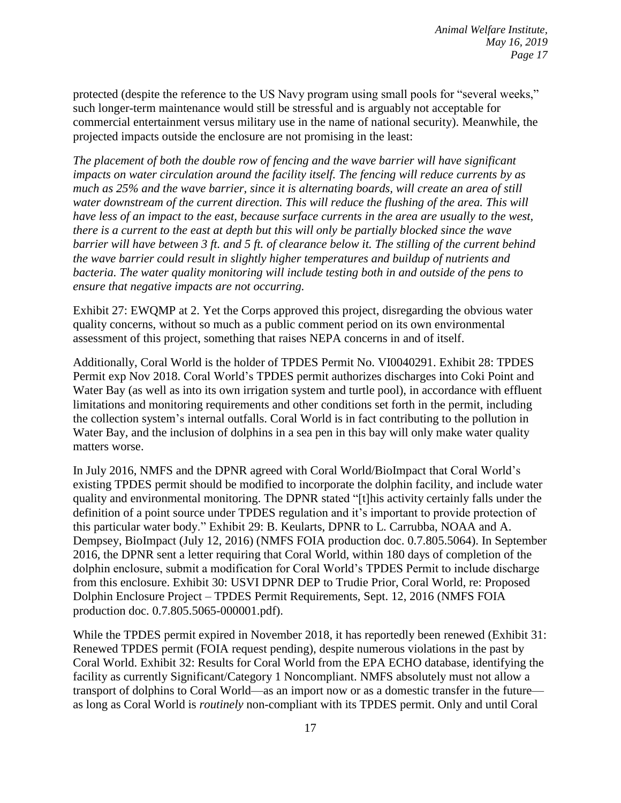protected (despite the reference to the US Navy program using small pools for "several weeks," such longer-term maintenance would still be stressful and is arguably not acceptable for commercial entertainment versus military use in the name of national security). Meanwhile, the projected impacts outside the enclosure are not promising in the least:

*The placement of both the double row of fencing and the wave barrier will have significant impacts on water circulation around the facility itself. The fencing will reduce currents by as much as 25% and the wave barrier, since it is alternating boards, will create an area of still water downstream of the current direction. This will reduce the flushing of the area. This will have less of an impact to the east, because surface currents in the area are usually to the west, there is a current to the east at depth but this will only be partially blocked since the wave barrier will have between 3 ft. and 5 ft. of clearance below it. The stilling of the current behind the wave barrier could result in slightly higher temperatures and buildup of nutrients and bacteria. The water quality monitoring will include testing both in and outside of the pens to ensure that negative impacts are not occurring.*

Exhibit 27: EWQMP at 2. Yet the Corps approved this project, disregarding the obvious water quality concerns, without so much as a public comment period on its own environmental assessment of this project, something that raises NEPA concerns in and of itself.

Additionally, Coral World is the holder of TPDES Permit No. VI0040291. Exhibit 28: TPDES Permit exp Nov 2018. Coral World's TPDES permit authorizes discharges into Coki Point and Water Bay (as well as into its own irrigation system and turtle pool), in accordance with effluent limitations and monitoring requirements and other conditions set forth in the permit, including the collection system's internal outfalls. Coral World is in fact contributing to the pollution in Water Bay, and the inclusion of dolphins in a sea pen in this bay will only make water quality matters worse.

In July 2016, NMFS and the DPNR agreed with Coral World/BioImpact that Coral World's existing TPDES permit should be modified to incorporate the dolphin facility, and include water quality and environmental monitoring. The DPNR stated "[t]his activity certainly falls under the definition of a point source under TPDES regulation and it's important to provide protection of this particular water body." Exhibit 29: B. Keularts, DPNR to L. Carrubba, NOAA and A. Dempsey, BioImpact (July 12, 2016) (NMFS FOIA production doc. 0.7.805.5064). In September 2016, the DPNR sent a letter requiring that Coral World, within 180 days of completion of the dolphin enclosure, submit a modification for Coral World's TPDES Permit to include discharge from this enclosure. Exhibit 30: USVI DPNR DEP to Trudie Prior, Coral World, re: Proposed Dolphin Enclosure Project – TPDES Permit Requirements, Sept. 12, 2016 (NMFS FOIA production doc. 0.7.805.5065-000001.pdf).

While the TPDES permit expired in November 2018, it has reportedly been renewed (Exhibit 31: Renewed TPDES permit (FOIA request pending), despite numerous violations in the past by Coral World. Exhibit 32: Results for Coral World from the EPA ECHO database, identifying the facility as currently Significant/Category 1 Noncompliant. NMFS absolutely must not allow a transport of dolphins to Coral World—as an import now or as a domestic transfer in the future as long as Coral World is *routinely* non-compliant with its TPDES permit. Only and until Coral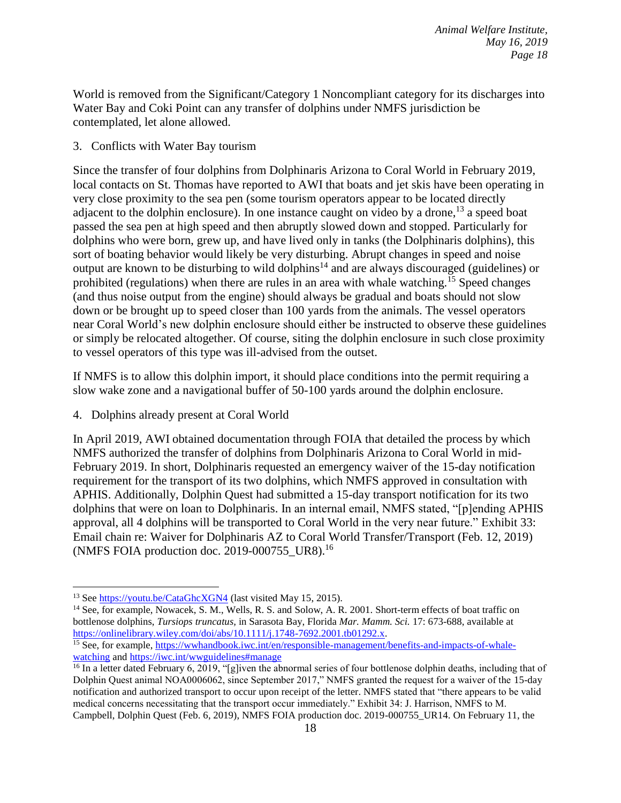World is removed from the Significant/Category 1 Noncompliant category for its discharges into Water Bay and Coki Point can any transfer of dolphins under NMFS jurisdiction be contemplated, let alone allowed.

### 3. Conflicts with Water Bay tourism

Since the transfer of four dolphins from Dolphinaris Arizona to Coral World in February 2019, local contacts on St. Thomas have reported to AWI that boats and jet skis have been operating in very close proximity to the sea pen (some tourism operators appear to be located directly adjacent to the dolphin enclosure). In one instance caught on video by a drone,  $^{13}$  a speed boat passed the sea pen at high speed and then abruptly slowed down and stopped. Particularly for dolphins who were born, grew up, and have lived only in tanks (the Dolphinaris dolphins), this sort of boating behavior would likely be very disturbing. Abrupt changes in speed and noise output are known to be disturbing to wild dolphins<sup>14</sup> and are always discouraged (guidelines) or prohibited (regulations) when there are rules in an area with whale watching.<sup>15</sup> Speed changes (and thus noise output from the engine) should always be gradual and boats should not slow down or be brought up to speed closer than 100 yards from the animals. The vessel operators near Coral World's new dolphin enclosure should either be instructed to observe these guidelines or simply be relocated altogether. Of course, siting the dolphin enclosure in such close proximity to vessel operators of this type was ill-advised from the outset.

If NMFS is to allow this dolphin import, it should place conditions into the permit requiring a slow wake zone and a navigational buffer of 50-100 yards around the dolphin enclosure.

4. Dolphins already present at Coral World

In April 2019, AWI obtained documentation through FOIA that detailed the process by which NMFS authorized the transfer of dolphins from Dolphinaris Arizona to Coral World in mid-February 2019. In short, Dolphinaris requested an emergency waiver of the 15-day notification requirement for the transport of its two dolphins, which NMFS approved in consultation with APHIS. Additionally, Dolphin Quest had submitted a 15-day transport notification for its two dolphins that were on loan to Dolphinaris. In an internal email, NMFS stated, "[p]ending APHIS approval, all 4 dolphins will be transported to Coral World in the very near future." Exhibit 33: Email chain re: Waiver for Dolphinaris AZ to Coral World Transfer/Transport (Feb. 12, 2019) (NMFS FOIA production doc. 2019-000755\_UR8). 16

<sup>13</sup> See<https://youtu.be/CataGhcXGN4> (last visited May 15, 2015).

<sup>&</sup>lt;sup>14</sup> See, for example, Nowacek, S. M., Wells, R. S. and Solow, A. R. 2001. Short-term effects of boat traffic on bottlenose dolphins, *Tursiops truncatus,* in Sarasota Bay, Florida *Mar. Mamm. Sci.* 17: 673-688, available at [https://onlinelibrary.wiley.com/doi/abs/10.1111/j.1748-7692.2001.tb01292.x.](https://onlinelibrary.wiley.com/doi/abs/10.1111/j.1748-7692.2001.tb01292.x)

<sup>&</sup>lt;sup>15</sup> See, for example, https://wwhandbook.<u>iwc.int/en/responsible-management/benefits-and-impacts-of-whale-</u> [watching](https://wwhandbook.iwc.int/en/responsible-management/benefits-and-impacts-of-whale-watching) and<https://iwc.int/wwguidelines#manage>

<sup>&</sup>lt;sup>16</sup> In a letter dated February 6, 2019, "[g]iven the abnormal series of four bottlenose dolphin deaths, including that of Dolphin Quest animal NOA0006062, since September 2017," NMFS granted the request for a waiver of the 15-day notification and authorized transport to occur upon receipt of the letter. NMFS stated that "there appears to be valid medical concerns necessitating that the transport occur immediately." Exhibit 34: J. Harrison, NMFS to M. Campbell, Dolphin Quest (Feb. 6, 2019), NMFS FOIA production doc. 2019-000755\_UR14. On February 11, the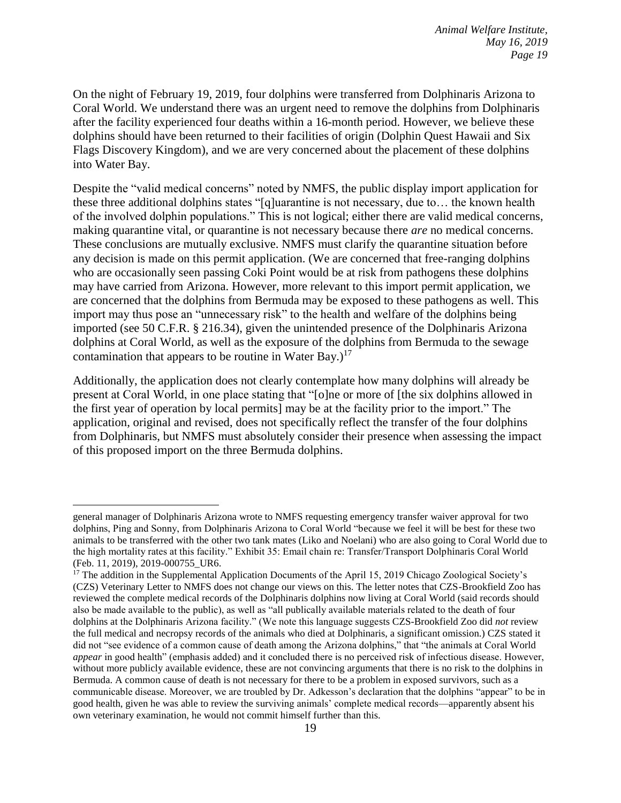On the night of February 19, 2019, four dolphins were transferred from Dolphinaris Arizona to Coral World. We understand there was an urgent need to remove the dolphins from Dolphinaris after the facility experienced four deaths within a 16-month period. However, we believe these dolphins should have been returned to their facilities of origin (Dolphin Quest Hawaii and Six Flags Discovery Kingdom), and we are very concerned about the placement of these dolphins into Water Bay.

Despite the "valid medical concerns" noted by NMFS, the public display import application for these three additional dolphins states "[q]uarantine is not necessary, due to… the known health of the involved dolphin populations." This is not logical; either there are valid medical concerns, making quarantine vital, or quarantine is not necessary because there *are* no medical concerns. These conclusions are mutually exclusive. NMFS must clarify the quarantine situation before any decision is made on this permit application. (We are concerned that free-ranging dolphins who are occasionally seen passing Coki Point would be at risk from pathogens these dolphins may have carried from Arizona. However, more relevant to this import permit application, we are concerned that the dolphins from Bermuda may be exposed to these pathogens as well. This import may thus pose an "unnecessary risk" to the health and welfare of the dolphins being imported (see 50 C.F.R. § 216.34), given the unintended presence of the Dolphinaris Arizona dolphins at Coral World, as well as the exposure of the dolphins from Bermuda to the sewage contamination that appears to be routine in Water Bay.)<sup>17</sup>

Additionally, the application does not clearly contemplate how many dolphins will already be present at Coral World, in one place stating that "[o]ne or more of [the six dolphins allowed in the first year of operation by local permits] may be at the facility prior to the import." The application, original and revised, does not specifically reflect the transfer of the four dolphins from Dolphinaris, but NMFS must absolutely consider their presence when assessing the impact of this proposed import on the three Bermuda dolphins.

general manager of Dolphinaris Arizona wrote to NMFS requesting emergency transfer waiver approval for two dolphins, Ping and Sonny, from Dolphinaris Arizona to Coral World "because we feel it will be best for these two animals to be transferred with the other two tank mates (Liko and Noelani) who are also going to Coral World due to the high mortality rates at this facility." Exhibit 35: Email chain re: Transfer/Transport Dolphinaris Coral World (Feb. 11, 2019), 2019-000755\_UR6.

<sup>&</sup>lt;sup>17</sup> The addition in the Supplemental Application Documents of the April 15, 2019 Chicago Zoological Society's (CZS) Veterinary Letter to NMFS does not change our views on this. The letter notes that CZS-Brookfield Zoo has reviewed the complete medical records of the Dolphinaris dolphins now living at Coral World (said records should also be made available to the public), as well as "all publically available materials related to the death of four dolphins at the Dolphinaris Arizona facility." (We note this language suggests CZS-Brookfield Zoo did *not* review the full medical and necropsy records of the animals who died at Dolphinaris, a significant omission.) CZS stated it did not "see evidence of a common cause of death among the Arizona dolphins," that "the animals at Coral World *appear* in good health" (emphasis added) and it concluded there is no perceived risk of infectious disease. However, without more publicly available evidence, these are not convincing arguments that there is no risk to the dolphins in Bermuda. A common cause of death is not necessary for there to be a problem in exposed survivors, such as a communicable disease. Moreover, we are troubled by Dr. Adkesson's declaration that the dolphins "appear" to be in good health, given he was able to review the surviving animals' complete medical records—apparently absent his own veterinary examination, he would not commit himself further than this.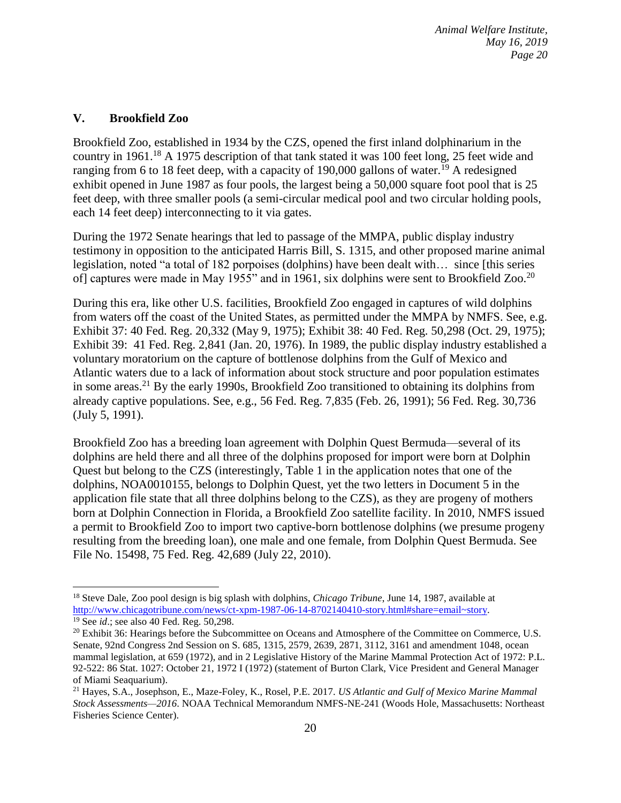#### **V. Brookfield Zoo**

 $\overline{a}$ 

Brookfield Zoo, established in 1934 by the CZS, opened the first inland dolphinarium in the country in 1961.<sup>18</sup> A 1975 description of that tank stated it was 100 feet long, 25 feet wide and ranging from 6 to 18 feet deep, with a capacity of 190,000 gallons of water.<sup>19</sup> A redesigned exhibit opened in June 1987 as four pools, the largest being a 50,000 square foot pool that is 25 feet deep, with three smaller pools (a semi-circular medical pool and two circular holding pools, each 14 feet deep) interconnecting to it via gates.

During the 1972 Senate hearings that led to passage of the MMPA, public display industry testimony in opposition to the anticipated Harris Bill, S. 1315, and other proposed marine animal legislation, noted "a total of 182 porpoises (dolphins) have been dealt with… since [this series of] captures were made in May 1955" and in 1961, six dolphins were sent to Brookfield Zoo.<sup>20</sup>

During this era, like other U.S. facilities, Brookfield Zoo engaged in captures of wild dolphins from waters off the coast of the United States, as permitted under the MMPA by NMFS. See, e.g. Exhibit 37: 40 Fed. Reg. 20,332 (May 9, 1975); Exhibit 38: 40 Fed. Reg. 50,298 (Oct. 29, 1975); Exhibit 39: 41 Fed. Reg. 2,841 (Jan. 20, 1976). In 1989, the public display industry established a voluntary moratorium on the capture of bottlenose dolphins from the Gulf of Mexico and Atlantic waters due to a lack of information about stock structure and poor population estimates in some areas.<sup>21</sup> By the early 1990s, Brookfield Zoo transitioned to obtaining its dolphins from already captive populations. See, e.g., 56 Fed. Reg. 7,835 (Feb. 26, 1991); 56 Fed. Reg. 30,736 (July 5, 1991).

Brookfield Zoo has a breeding loan agreement with Dolphin Quest Bermuda—several of its dolphins are held there and all three of the dolphins proposed for import were born at Dolphin Quest but belong to the CZS (interestingly, Table 1 in the application notes that one of the dolphins, NOA0010155, belongs to Dolphin Quest, yet the two letters in Document 5 in the application file state that all three dolphins belong to the CZS), as they are progeny of mothers born at Dolphin Connection in Florida, a Brookfield Zoo satellite facility. In 2010, NMFS issued a permit to Brookfield Zoo to import two captive-born bottlenose dolphins (we presume progeny resulting from the breeding loan), one male and one female, from Dolphin Quest Bermuda. See File No. 15498, 75 Fed. Reg. 42,689 (July 22, 2010).

<sup>18</sup> Steve Dale, Zoo pool design is big splash with dolphins, *Chicago Tribune*, June 14, 1987, available at [http://www.chicagotribune.com/news/ct-xpm-1987-06-14-8702140410-story.html#share=email~story.](http://www.chicagotribune.com/news/ct-xpm-1987-06-14-8702140410-story.html#share=email~story) <sup>19</sup> See *id*.; see also 40 Fed. Reg. 50,298.

<sup>&</sup>lt;sup>20</sup> Exhibit 36: Hearings before the Subcommittee on Oceans and Atmosphere of the Committee on Commerce, U.S. Senate, 92nd Congress 2nd Session on S. 685, 1315, 2579, 2639, 2871, 3112, 3161 and amendment 1048, ocean mammal legislation, at 659 (1972), and in 2 Legislative History of the Marine Mammal Protection Act of 1972: P.L. 92-522: 86 Stat. 1027: October 21, 1972 I (1972) (statement of Burton Clark, Vice President and General Manager of Miami Seaquarium).

<sup>21</sup> Hayes, S.A., Josephson, E., Maze-Foley, K., Rosel, P.E. 2017. *US Atlantic and Gulf of Mexico Marine Mammal Stock Assessments—2016*. NOAA Technical Memorandum NMFS-NE-241 (Woods Hole, Massachusetts: Northeast Fisheries Science Center).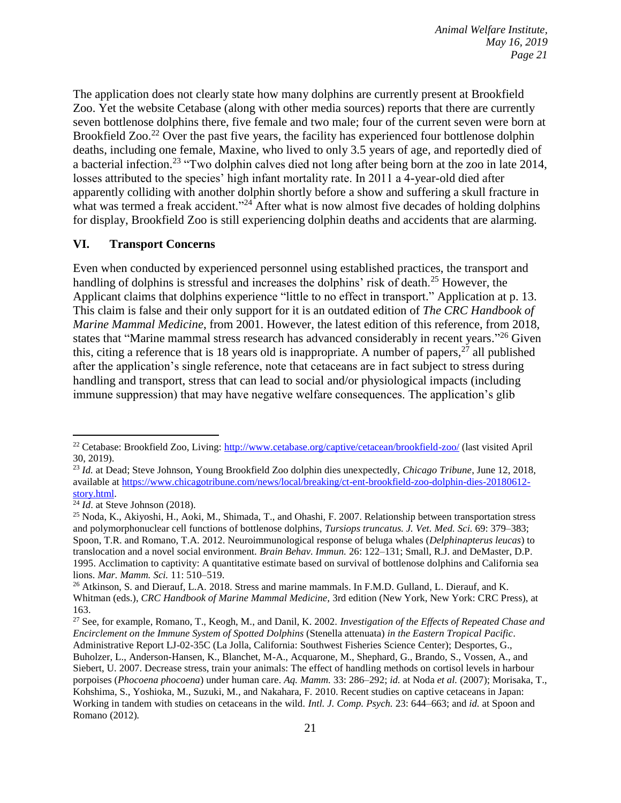The application does not clearly state how many dolphins are currently present at Brookfield Zoo. Yet the website Cetabase (along with other media sources) reports that there are currently seven bottlenose dolphins there, five female and two male; four of the current seven were born at Brookfield Zoo.<sup>22</sup> Over the past five years, the facility has experienced four bottlenose dolphin deaths, including one female, Maxine, who lived to only 3.5 years of age, and reportedly died of a bacterial infection.<sup>23</sup> "Two dolphin calves died not long after being born at the zoo in late 2014, losses attributed to the species' high infant mortality rate. In 2011 a 4-year-old died after apparently colliding with another dolphin shortly before a show and suffering a skull fracture in what was termed a freak accident."<sup>24</sup> After what is now almost five decades of holding dolphins for display, Brookfield Zoo is still experiencing dolphin deaths and accidents that are alarming.

#### **VI. Transport Concerns**

Even when conducted by experienced personnel using established practices, the transport and handling of dolphins is stressful and increases the dolphins' risk of death.<sup>25</sup> However, the Applicant claims that dolphins experience "little to no effect in transport." Application at p. 13. This claim is false and their only support for it is an outdated edition of *The CRC Handbook of Marine Mammal Medicine*, from 2001. However, the latest edition of this reference, from 2018, states that "Marine mammal stress research has advanced considerably in recent years."<sup>26</sup> Given this, citing a reference that is 18 years old is inappropriate. A number of papers,  $27$  all published after the application's single reference, note that cetaceans are in fact subject to stress during handling and transport, stress that can lead to social and/or physiological impacts (including immune suppression) that may have negative welfare consequences. The application's glib

<sup>&</sup>lt;sup>22</sup> Cetabase: Brookfield Zoo, Living:<http://www.cetabase.org/captive/cetacean/brookfield-zoo/> (last visited April 30, 2019).

<sup>23</sup> *Id.* at Dead; Steve Johnson, Young Brookfield Zoo dolphin dies unexpectedly, *Chicago Tribune*, June 12, 2018, available at [https://www.chicagotribune.com/news/local/breaking/ct-ent-brookfield-zoo-dolphin-dies-20180612](https://www.chicagotribune.com/news/local/breaking/ct-ent-brookfield-zoo-dolphin-dies-20180612-story.html) [story.html.](https://www.chicagotribune.com/news/local/breaking/ct-ent-brookfield-zoo-dolphin-dies-20180612-story.html)

 $\overline{^{24}Id}$ . at Steve Johnson (2018).

<sup>&</sup>lt;sup>25</sup> Noda, K., Akiyoshi, H., Aoki, M., Shimada, T., and Ohashi, F. 2007. Relationship between transportation stress and polymorphonuclear cell functions of bottlenose dolphins, *Tursiops truncatus. J. Vet. Med. Sci.* 69: 379–383; Spoon, T.R. and Romano, T.A. 2012. Neuroimmunological response of beluga whales (*Delphinapterus leucas*) to translocation and a novel social environment. *Brain Behav. Immun.* 26: 122–131; Small, R.J. and DeMaster, D.P. 1995. Acclimation to captivity: A quantitative estimate based on survival of bottlenose dolphins and California sea lions. *Mar. Mamm. Sci.* 11: 510–519.

<sup>&</sup>lt;sup>26</sup> Atkinson, S. and Dierauf, L.A. 2018. Stress and marine mammals. In F.M.D. Gulland, L. Dierauf, and K. Whitman (eds.), *CRC Handbook of Marine Mammal Medicine,* 3rd edition (New York, New York: CRC Press), at 163.

<sup>27</sup> See, for example, Romano, T., Keogh, M., and Danil, K. 2002. *Investigation of the Effects of Repeated Chase and Encirclement on the Immune System of Spotted Dolphins* (Stenella attenuata) *in the Eastern Tropical Pacific*. Administrative Report LJ-02-35C (La Jolla, California: Southwest Fisheries Science Center); Desportes, G., Buholzer, L., Anderson-Hansen, K., Blanchet, M-A., Acquarone, M., Shephard, G., Brando, S., Vossen, A., and Siebert, U. 2007. Decrease stress, train your animals: The effect of handling methods on cortisol levels in harbour porpoises (*Phocoena phocoena*) under human care. *Aq. Mamm.* 33: 286–292; *id.* at Noda *et al.* (2007); Morisaka, T., Kohshima, S., Yoshioka, M., Suzuki, M., and Nakahara, F*.* 2010. Recent studies on captive cetaceans in Japan: Working in tandem with studies on cetaceans in the wild. *Intl. J. Comp. Psych.* 23: 644–663; and *id.* at Spoon and Romano (2012)*.*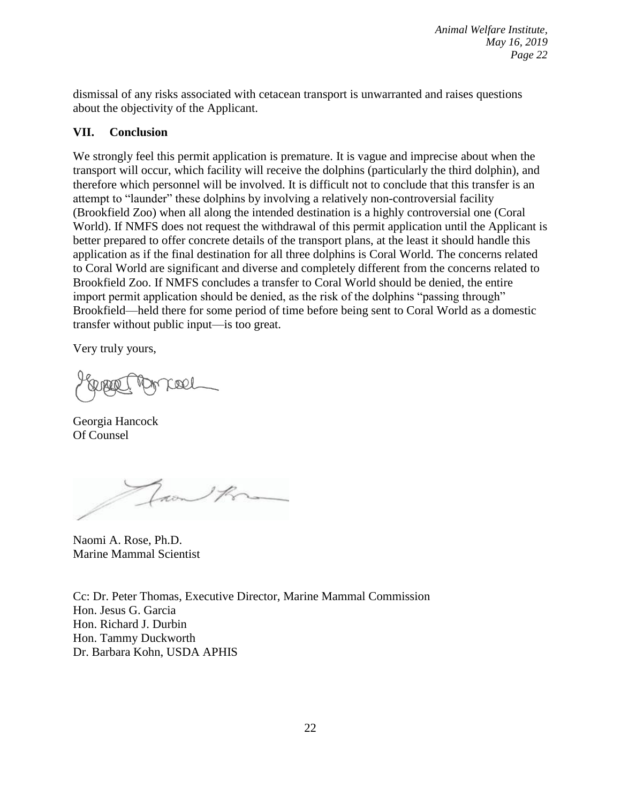dismissal of any risks associated with cetacean transport is unwarranted and raises questions about the objectivity of the Applicant.

# **VII. Conclusion**

We strongly feel this permit application is premature. It is vague and imprecise about when the transport will occur, which facility will receive the dolphins (particularly the third dolphin), and therefore which personnel will be involved. It is difficult not to conclude that this transfer is an attempt to "launder" these dolphins by involving a relatively non-controversial facility (Brookfield Zoo) when all along the intended destination is a highly controversial one (Coral World). If NMFS does not request the withdrawal of this permit application until the Applicant is better prepared to offer concrete details of the transport plans, at the least it should handle this application as if the final destination for all three dolphins is Coral World. The concerns related to Coral World are significant and diverse and completely different from the concerns related to Brookfield Zoo. If NMFS concludes a transfer to Coral World should be denied, the entire import permit application should be denied, as the risk of the dolphins "passing through" Brookfield—held there for some period of time before being sent to Coral World as a domestic transfer without public input—is too great.

Very truly yours,

cool

Georgia Hancock Of Counsel

Laon K

Naomi A. Rose, Ph.D. Marine Mammal Scientist

Cc: Dr. Peter Thomas, Executive Director, Marine Mammal Commission Hon. Jesus G. Garcia Hon. Richard J. Durbin Hon. Tammy Duckworth Dr. Barbara Kohn, USDA APHIS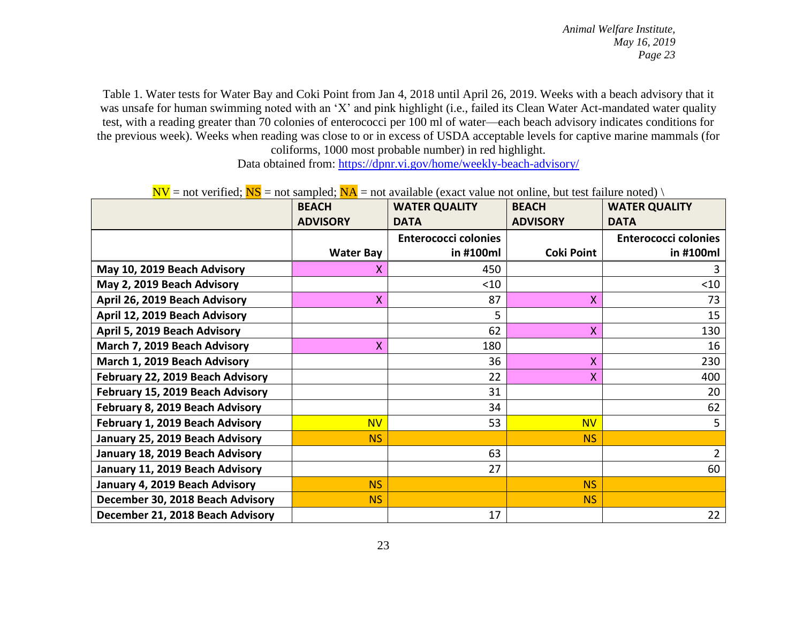Table 1. Water tests for Water Bay and Coki Point from Jan 4, 2018 until April 26, 2019. Weeks with a beach advisory that it was unsafe for human swimming noted with an 'X' and pink highlight (i.e., failed its Clean Water Act-mandated water quality test, with a reading greater than 70 colonies of enterococci per 100 ml of water—each beach advisory indicates conditions for the previous week). Weeks when reading was close to or in excess of USDA acceptable levels for captive marine mammals (for coliforms, 1000 most probable number) in red highlight.

Data obtained from:<https://dpnr.vi.gov/home/weekly-beach-advisory/>

| $\mathbf{F}$ = not vertice, $\mathbf{F}$ is = not sample, $\mathbf{F}$ is = not a valuable (exact value not omine, out test funded noted) | <b>BEACH</b>     | <b>WATER QUALITY</b>        | <b>BEACH</b>      | <b>WATER QUALITY</b>        |
|-------------------------------------------------------------------------------------------------------------------------------------------|------------------|-----------------------------|-------------------|-----------------------------|
|                                                                                                                                           | <b>ADVISORY</b>  | <b>DATA</b>                 | <b>ADVISORY</b>   | <b>DATA</b>                 |
|                                                                                                                                           |                  | <b>Enterococci colonies</b> |                   | <b>Enterococci colonies</b> |
|                                                                                                                                           | <b>Water Bay</b> | in #100ml                   | <b>Coki Point</b> | in #100ml                   |
| May 10, 2019 Beach Advisory                                                                                                               | x                | 450                         |                   |                             |
| May 2, 2019 Beach Advisory                                                                                                                |                  | $<$ 10                      |                   | $<$ 10                      |
| April 26, 2019 Beach Advisory                                                                                                             | $\mathsf{X}$     | 87                          | Χ                 | 73                          |
| April 12, 2019 Beach Advisory                                                                                                             |                  |                             |                   | 15                          |
| April 5, 2019 Beach Advisory                                                                                                              |                  | 62                          | X                 | 130                         |
| March 7, 2019 Beach Advisory                                                                                                              | $\mathsf{X}$     | 180                         |                   | 16                          |
| March 1, 2019 Beach Advisory                                                                                                              |                  | 36                          | Χ                 | 230                         |
| February 22, 2019 Beach Advisory                                                                                                          |                  | 22                          | Χ                 | 400                         |
| February 15, 2019 Beach Advisory                                                                                                          |                  | 31                          |                   | 20                          |
| February 8, 2019 Beach Advisory                                                                                                           |                  | 34                          |                   | 62                          |
| February 1, 2019 Beach Advisory                                                                                                           | <b>NV</b>        | 53                          | <b>NV</b>         | 5                           |
| January 25, 2019 Beach Advisory                                                                                                           | <b>NS</b>        |                             | <b>NS</b>         |                             |
| January 18, 2019 Beach Advisory                                                                                                           |                  | 63                          |                   | $\overline{2}$              |
| January 11, 2019 Beach Advisory                                                                                                           |                  | 27                          |                   | 60                          |
| January 4, 2019 Beach Advisory                                                                                                            | <b>NS</b>        |                             | <b>NS</b>         |                             |
| December 30, 2018 Beach Advisory                                                                                                          | <b>NS</b>        |                             | <b>NS</b>         |                             |
| December 21, 2018 Beach Advisory                                                                                                          |                  | 17                          |                   | 22                          |

 $N =$  not verified;  $NS =$  not sampled;  $NA =$  not available (exact value not online, but test failure noted) \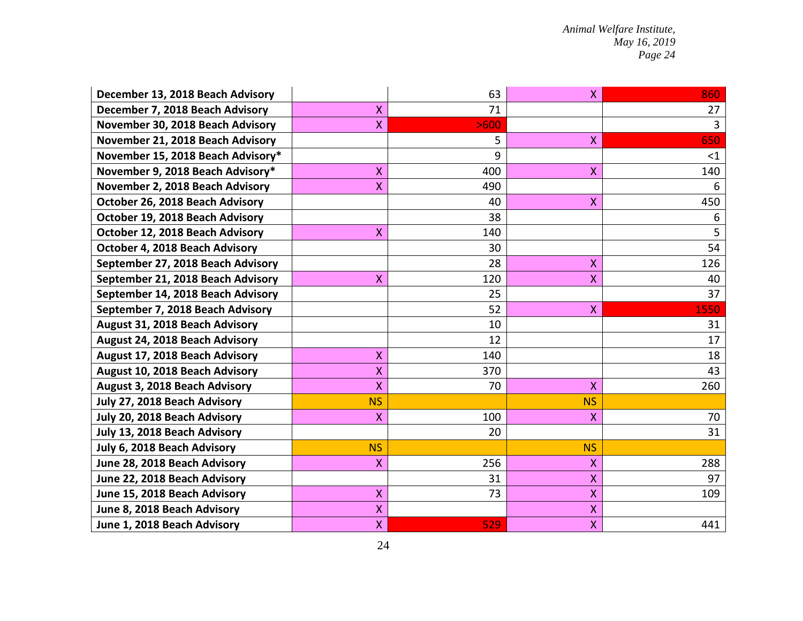| December 13, 2018 Beach Advisory  |              | 63   | $\mathsf{X}$ | 860            |
|-----------------------------------|--------------|------|--------------|----------------|
| December 7, 2018 Beach Advisory   | $\mathsf{X}$ | 71   |              | 27             |
| November 30, 2018 Beach Advisory  | $\mathsf{X}$ | >600 |              | $\overline{3}$ |
| November 21, 2018 Beach Advisory  |              | 5    | X            | 650            |
| November 15, 2018 Beach Advisory* |              | 9    |              | $\leq$ 1       |
| November 9, 2018 Beach Advisory*  | $\mathsf{X}$ | 400  | X            | 140            |
| November 2, 2018 Beach Advisory   | $\mathsf{X}$ | 490  |              | 6              |
| October 26, 2018 Beach Advisory   |              | 40   | $\mathsf{X}$ | 450            |
| October 19, 2018 Beach Advisory   |              | 38   |              | 6              |
| October 12, 2018 Beach Advisory   | X            | 140  |              | 5              |
| October 4, 2018 Beach Advisory    |              | 30   |              | 54             |
| September 27, 2018 Beach Advisory |              | 28   | $\mathsf{X}$ | 126            |
| September 21, 2018 Beach Advisory | $\mathsf{X}$ | 120  | $\mathsf{X}$ | 40             |
| September 14, 2018 Beach Advisory |              | 25   |              | 37             |
| September 7, 2018 Beach Advisory  |              | 52   | X.           | 1550           |
| August 31, 2018 Beach Advisory    |              | 10   |              | 31             |
| August 24, 2018 Beach Advisory    |              | 12   |              | 17             |
| August 17, 2018 Beach Advisory    | X            | 140  |              | 18             |
| August 10, 2018 Beach Advisory    | Χ            | 370  |              | 43             |
| August 3, 2018 Beach Advisory     | Χ            | 70   | $\mathsf{X}$ | 260            |
| July 27, 2018 Beach Advisory      | <b>NS</b>    |      | <b>NS</b>    |                |
| July 20, 2018 Beach Advisory      | X            | 100  | X            | 70             |
| July 13, 2018 Beach Advisory      |              | 20   |              | 31             |
| July 6, 2018 Beach Advisory       | <b>NS</b>    |      | <b>NS</b>    |                |
| June 28, 2018 Beach Advisory      | X            | 256  | X            | 288            |
| June 22, 2018 Beach Advisory      |              | 31   | X            | 97             |
| June 15, 2018 Beach Advisory      | X            | 73   | X            | 109            |
| June 8, 2018 Beach Advisory       | $\mathsf{X}$ |      | $\mathsf{X}$ |                |
| June 1, 2018 Beach Advisory       | $\mathsf{X}$ | 529  | $\mathsf{X}$ | 441            |